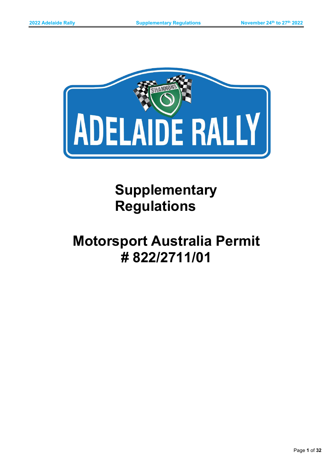

**Supplementary Regulations**

# **Motorsport Australia Permit # 822/2711/01**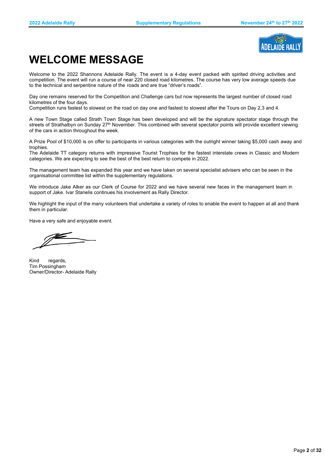

# **WELCOME MESSAGE**

Welcome to the 2022 Shannons Adelaide Rally. The event is a 4-day event packed with spirited driving activities and competition. The event will run a course of near 220 closed road kilometres. The course has very low average speeds due to the technical and serpentine nature of the roads and are true "driver's roads".

Day one remains reserved for the Competition and Challenge cars but now represents the largest number of closed road kilometres of the four days.

Competition runs fastest to slowest on the road on day one and fastest to slowest after the Tours on Day 2,3 and 4.

A new Town Stage called Strath Town Stage has been developed and will be the signature spectator stage through the streets of Strathalbyn on Sunday 27<sup>th</sup> November. This combined with several spectator points will provide excellent viewing of the cars in action throughout the week.

A Prize Pool of \$10,000 is on offer to participants in various categories with the outright winner taking \$5,000 cash away and trophies.

The Adelaide TT category returns with impressive Tourist Trophies for the fastest interstate crews in Classic and Modern categories. We are expecting to see the best of the best return to compete in 2022.

The management team has expanded this year and we have taken on several specialist advisers who can be seen in the organisational committee list within the supplementary regulations.

We introduce Jake Alker as our Clerk of Course for 2022 and we have several new faces in the management team in support of Jake. Ivar Stanelis continues his involvement as Rally Director.

We highlight the input of the many volunteers that undertake a variety of roles to enable the event to happen at all and thank them in particular.

Have a very safe and enjoyable event.

Kind regards, Tim Possingham Owner/Director- Adelaide Rally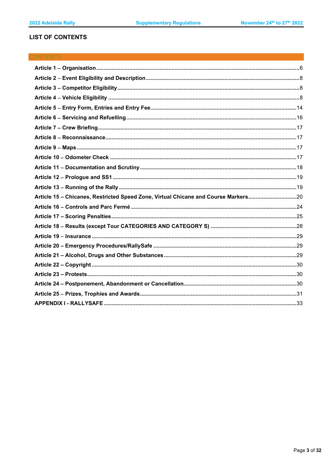# **LIST OF CONTENTS**

# **CONTENTS**

| Article 15 - Chicanes, Restricted Speed Zone, Virtual Chicane and Course Markers20 |  |
|------------------------------------------------------------------------------------|--|
|                                                                                    |  |
|                                                                                    |  |
|                                                                                    |  |
|                                                                                    |  |
|                                                                                    |  |
|                                                                                    |  |
|                                                                                    |  |
|                                                                                    |  |
|                                                                                    |  |
|                                                                                    |  |
|                                                                                    |  |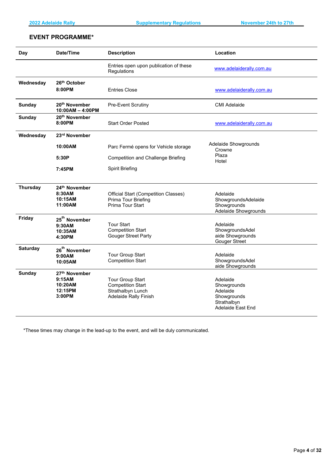# **EVENT PROGRAMME\***

| <b>Day</b>      | Date/Time                                                           | <b>Description</b>                                                                                       | Location                                                                               |
|-----------------|---------------------------------------------------------------------|----------------------------------------------------------------------------------------------------------|----------------------------------------------------------------------------------------|
|                 |                                                                     | Entries open upon publication of these<br>Regulations                                                    | www.adelaiderally.com.au                                                               |
| Wednesday       | 26th October<br>8:00PM                                              | <b>Entries Close</b>                                                                                     | www.adelaiderally.com.au                                                               |
| <b>Sunday</b>   | 20 <sup>th</sup> November<br>10:00AM - 4:00PM                       | <b>Pre-Event Scrutiny</b>                                                                                | <b>CMI Adelaide</b>                                                                    |
| <b>Sunday</b>   | 20 <sup>th</sup> November<br>8:00PM                                 | <b>Start Order Posted</b>                                                                                | www.adelaiderally.com.au                                                               |
| Wednesday       | 23rd November                                                       |                                                                                                          |                                                                                        |
|                 | 10:00AM                                                             | Parc Fermé opens for Vehicle storage                                                                     | Adelaide Showgrounds<br>Crowne                                                         |
|                 | 5:30P                                                               | <b>Competition and Challenge Briefing</b>                                                                | Plaza<br>Hotel                                                                         |
|                 | 7:45PM                                                              | <b>Spirit Briefing</b>                                                                                   |                                                                                        |
| <b>Thursday</b> | 24th November<br>8:30AM<br>10:15AM<br>11:00AM                       | <b>Official Start (Competition Classes)</b><br>Prima Tour Briefing<br>Prima Tour Start                   | Adelaide<br>ShowgroundsAdelaide<br>Showgrounds<br>Adelaide Showgrounds                 |
| Friday          | 25 <sup>th</sup> November<br>9:30AM<br>10:35AM<br>4:30PM            | <b>Tour Start</b><br><b>Competition Start</b><br><b>Gouger Street Party</b>                              | Adelaide<br>ShowgroundsAdel<br>aide Showgrounds<br><b>Gouger Street</b>                |
| <b>Saturday</b> | 26 <sup>th</sup> November<br>9:00AM<br>10:05AM                      | <b>Tour Group Start</b><br><b>Competition Start</b>                                                      | Adelaide<br>ShowgroundsAdel<br>aide Showgrounds                                        |
| <b>Sunday</b>   | 27 <sup>th</sup> November<br>9:15AM<br>10:20AM<br>12:15PM<br>3:00PM | <b>Tour Group Start</b><br><b>Competition Start</b><br>Strathalbyn Lunch<br><b>Adelaide Rally Finish</b> | Adelaide<br>Showgrounds<br>Adelaide<br>Showgrounds<br>Strathalbyn<br>Adelaide East End |

\*These times may change in the lead-up to the event, and will be duly communicated.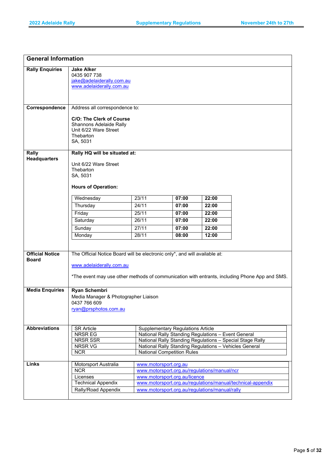| <b>Rally Enquiries</b><br><b>Jake Alker</b><br>0435 907 738<br>jake@adelaiderally.com.au<br>www.adelaiderally.com.au<br>Correspondence<br>Address all correspondence to:<br><b>C/O: The Clerk of Course</b><br>Shannons Adelaide Rally<br>Unit 6/22 Ware Street<br>Thebarton<br>SA, 5031<br>Rally HQ will be situated at:<br>Rally<br><b>Headquarters</b><br>Unit 6/22 Ware Street<br>Thebarton<br>SA, 5031<br><b>Hours of Operation:</b><br>23/11<br>07:00<br>22:00<br>Wednesday<br>Thursday<br>24/11<br>07:00<br>22:00<br>25/11<br>Friday<br>07:00<br>22:00<br>26/11<br>Saturday<br>07:00<br>22:00<br>27/11<br>07:00<br>Sunday<br>22:00<br>28/11<br>Monday<br>08:00<br>12:00<br>The Official Notice Board will be electronic only*, and will available at:<br><b>Official Notice</b><br><b>Board</b><br>www.adelaiderally.com.au<br>*The event may use other methods of communication with entrants, including Phone App and SMS.<br><b>Media Enquiries</b><br><b>Ryan Schembri</b><br>Media Manager & Photographer Liaison<br>0437 766 609<br>ryan@prsphotos.com.au<br><b>Abbreviations</b><br><b>SR Article</b><br><b>Supplementary Regulations Article</b><br>NRSR EG<br>National Rally Standing Regulations - Event General<br>National Rally Standing Regulations - Special Stage Rally<br>NRSR SSR<br>NRSR VG<br>National Rally Standing Regulations - Vehicles General<br><b>National Competition Rules</b><br><b>NCR</b><br>Links<br>Motorsport Australia<br>www.motorsport.org.au<br>www.motorsport.org.au/regulations/manual/ncr<br><b>NCR</b><br>www.motorsport.org.au/licence<br>Licenses<br><b>Technical Appendix</b><br>www.motorsport.org.au/regulations/manual/technical-appendix<br>Rally/Road Appendix<br>www.motorsport.org.au/regulations/manual/rally | <b>General Information</b> |  |  |  |  |
|------------------------------------------------------------------------------------------------------------------------------------------------------------------------------------------------------------------------------------------------------------------------------------------------------------------------------------------------------------------------------------------------------------------------------------------------------------------------------------------------------------------------------------------------------------------------------------------------------------------------------------------------------------------------------------------------------------------------------------------------------------------------------------------------------------------------------------------------------------------------------------------------------------------------------------------------------------------------------------------------------------------------------------------------------------------------------------------------------------------------------------------------------------------------------------------------------------------------------------------------------------------------------------------------------------------------------------------------------------------------------------------------------------------------------------------------------------------------------------------------------------------------------------------------------------------------------------------------------------------------------------------------------------------------------------------------------------------------------------------------------------------------------|----------------------------|--|--|--|--|
|                                                                                                                                                                                                                                                                                                                                                                                                                                                                                                                                                                                                                                                                                                                                                                                                                                                                                                                                                                                                                                                                                                                                                                                                                                                                                                                                                                                                                                                                                                                                                                                                                                                                                                                                                                              |                            |  |  |  |  |
|                                                                                                                                                                                                                                                                                                                                                                                                                                                                                                                                                                                                                                                                                                                                                                                                                                                                                                                                                                                                                                                                                                                                                                                                                                                                                                                                                                                                                                                                                                                                                                                                                                                                                                                                                                              |                            |  |  |  |  |
|                                                                                                                                                                                                                                                                                                                                                                                                                                                                                                                                                                                                                                                                                                                                                                                                                                                                                                                                                                                                                                                                                                                                                                                                                                                                                                                                                                                                                                                                                                                                                                                                                                                                                                                                                                              |                            |  |  |  |  |
|                                                                                                                                                                                                                                                                                                                                                                                                                                                                                                                                                                                                                                                                                                                                                                                                                                                                                                                                                                                                                                                                                                                                                                                                                                                                                                                                                                                                                                                                                                                                                                                                                                                                                                                                                                              |                            |  |  |  |  |
|                                                                                                                                                                                                                                                                                                                                                                                                                                                                                                                                                                                                                                                                                                                                                                                                                                                                                                                                                                                                                                                                                                                                                                                                                                                                                                                                                                                                                                                                                                                                                                                                                                                                                                                                                                              |                            |  |  |  |  |
|                                                                                                                                                                                                                                                                                                                                                                                                                                                                                                                                                                                                                                                                                                                                                                                                                                                                                                                                                                                                                                                                                                                                                                                                                                                                                                                                                                                                                                                                                                                                                                                                                                                                                                                                                                              |                            |  |  |  |  |
|                                                                                                                                                                                                                                                                                                                                                                                                                                                                                                                                                                                                                                                                                                                                                                                                                                                                                                                                                                                                                                                                                                                                                                                                                                                                                                                                                                                                                                                                                                                                                                                                                                                                                                                                                                              |                            |  |  |  |  |
|                                                                                                                                                                                                                                                                                                                                                                                                                                                                                                                                                                                                                                                                                                                                                                                                                                                                                                                                                                                                                                                                                                                                                                                                                                                                                                                                                                                                                                                                                                                                                                                                                                                                                                                                                                              |                            |  |  |  |  |
|                                                                                                                                                                                                                                                                                                                                                                                                                                                                                                                                                                                                                                                                                                                                                                                                                                                                                                                                                                                                                                                                                                                                                                                                                                                                                                                                                                                                                                                                                                                                                                                                                                                                                                                                                                              |                            |  |  |  |  |
|                                                                                                                                                                                                                                                                                                                                                                                                                                                                                                                                                                                                                                                                                                                                                                                                                                                                                                                                                                                                                                                                                                                                                                                                                                                                                                                                                                                                                                                                                                                                                                                                                                                                                                                                                                              |                            |  |  |  |  |
|                                                                                                                                                                                                                                                                                                                                                                                                                                                                                                                                                                                                                                                                                                                                                                                                                                                                                                                                                                                                                                                                                                                                                                                                                                                                                                                                                                                                                                                                                                                                                                                                                                                                                                                                                                              |                            |  |  |  |  |
|                                                                                                                                                                                                                                                                                                                                                                                                                                                                                                                                                                                                                                                                                                                                                                                                                                                                                                                                                                                                                                                                                                                                                                                                                                                                                                                                                                                                                                                                                                                                                                                                                                                                                                                                                                              |                            |  |  |  |  |
|                                                                                                                                                                                                                                                                                                                                                                                                                                                                                                                                                                                                                                                                                                                                                                                                                                                                                                                                                                                                                                                                                                                                                                                                                                                                                                                                                                                                                                                                                                                                                                                                                                                                                                                                                                              |                            |  |  |  |  |
|                                                                                                                                                                                                                                                                                                                                                                                                                                                                                                                                                                                                                                                                                                                                                                                                                                                                                                                                                                                                                                                                                                                                                                                                                                                                                                                                                                                                                                                                                                                                                                                                                                                                                                                                                                              |                            |  |  |  |  |
|                                                                                                                                                                                                                                                                                                                                                                                                                                                                                                                                                                                                                                                                                                                                                                                                                                                                                                                                                                                                                                                                                                                                                                                                                                                                                                                                                                                                                                                                                                                                                                                                                                                                                                                                                                              |                            |  |  |  |  |
|                                                                                                                                                                                                                                                                                                                                                                                                                                                                                                                                                                                                                                                                                                                                                                                                                                                                                                                                                                                                                                                                                                                                                                                                                                                                                                                                                                                                                                                                                                                                                                                                                                                                                                                                                                              |                            |  |  |  |  |
|                                                                                                                                                                                                                                                                                                                                                                                                                                                                                                                                                                                                                                                                                                                                                                                                                                                                                                                                                                                                                                                                                                                                                                                                                                                                                                                                                                                                                                                                                                                                                                                                                                                                                                                                                                              |                            |  |  |  |  |
|                                                                                                                                                                                                                                                                                                                                                                                                                                                                                                                                                                                                                                                                                                                                                                                                                                                                                                                                                                                                                                                                                                                                                                                                                                                                                                                                                                                                                                                                                                                                                                                                                                                                                                                                                                              |                            |  |  |  |  |
|                                                                                                                                                                                                                                                                                                                                                                                                                                                                                                                                                                                                                                                                                                                                                                                                                                                                                                                                                                                                                                                                                                                                                                                                                                                                                                                                                                                                                                                                                                                                                                                                                                                                                                                                                                              |                            |  |  |  |  |
|                                                                                                                                                                                                                                                                                                                                                                                                                                                                                                                                                                                                                                                                                                                                                                                                                                                                                                                                                                                                                                                                                                                                                                                                                                                                                                                                                                                                                                                                                                                                                                                                                                                                                                                                                                              |                            |  |  |  |  |
|                                                                                                                                                                                                                                                                                                                                                                                                                                                                                                                                                                                                                                                                                                                                                                                                                                                                                                                                                                                                                                                                                                                                                                                                                                                                                                                                                                                                                                                                                                                                                                                                                                                                                                                                                                              |                            |  |  |  |  |
|                                                                                                                                                                                                                                                                                                                                                                                                                                                                                                                                                                                                                                                                                                                                                                                                                                                                                                                                                                                                                                                                                                                                                                                                                                                                                                                                                                                                                                                                                                                                                                                                                                                                                                                                                                              |                            |  |  |  |  |
|                                                                                                                                                                                                                                                                                                                                                                                                                                                                                                                                                                                                                                                                                                                                                                                                                                                                                                                                                                                                                                                                                                                                                                                                                                                                                                                                                                                                                                                                                                                                                                                                                                                                                                                                                                              |                            |  |  |  |  |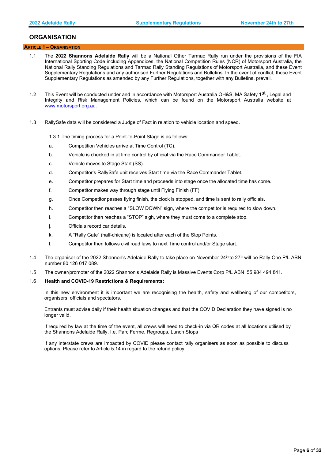# **ORGANISATION**

# <span id="page-5-0"></span> **ARTICLE 1** − **ORGANISATION**

- 1.1 The **2022 Shannons Adelaide Rally** will be a National Other Tarmac Rally run under the provisions of the FIA International Sporting Code including Appendices, the National Competition Rules (NCR) of Motorsport Australia, the National Rally Standing Regulations and Tarmac Rally Standing Regulations of Motorsport Australia, and these Event Supplementary Regulations and any authorised Further Regulations and Bulletins. In the event of conflict, these Event Supplementary Regulations as amended by any Further Regulations, together with any Bulletins, prevail.
- 1.2 This Event will be conducted under and in accordance with Motorsport Australia OH&S, MA Safety 1<sup>st</sup>, Legal and Integrity and Risk Management Policies, which can be found on the Motorsport Australia website at [www.motorsport.org.au.](http://www.motorsport.org.au/)
- 1.3 RallySafe data will be considered a Judge of Fact in relation to vehicle location and speed.
	- 1.3.1 The timing process for a Point-to-Point Stage is as follows:
	- a. Competition Vehicles arrive at Time Control (TC).
	- b. Vehicle is checked in at time control by official via the Race Commander Tablet.
	- c. Vehicle moves to Stage Start (SS).
	- d. Competitor's RallySafe unit receives Start time via the Race Commander Tablet.
	- e. Competitor prepares for Start time and proceeds into stage once the allocated time has come.
	- f. Competitor makes way through stage until Flying Finish (FF).
	- g. Once Competitor passes flying finish, the clock is stopped, and time is sent to rally officials.
	- h. Competitor then reaches a "SLOW DOWN" sign, where the competitor is required to slow down.
	- i. Competitor then reaches a "STOP" sigh, where they must come to a complete stop.
	- j. Officials record car details.
	- k. A "Rally Gate" (half-chicane) is located after each of the Stop Points.
	- l. Competitor then follows civil road laws to next Time control and/or Stage start.
- 1.4 The organiser of the 2022 Shannon's Adelaide Rally to take place on November  $24<sup>th</sup>$  to  $27<sup>th</sup>$  will be Rally One P/L ABN number 80 126 017 089.
- 1.5 The owner/promoter of the 2022 Shannon's Adelaide Rally is Massive Events Corp P/L ABN 55 984 494 841.

# 1.6 **Health and COVID-19 Restrictions & Requirements:**

In this new environment it is important we are recognising the health, safety and wellbeing of our competitors, organisers, officials and spectators.

Entrants must advise daily if their health situation changes and that the COVID Declaration they have signed is no longer valid.

If required by law at the time of the event, all crews will need to check-in via QR codes at all locations utilised by the Shannons Adelaide Rally, I.e. Parc Ferme, Regroups, Lunch Stops

If any interstate crews are impacted by COVID please contact rally organisers as soon as possible to discuss options. Please refer to Article 5.14 in regard to the refund policy.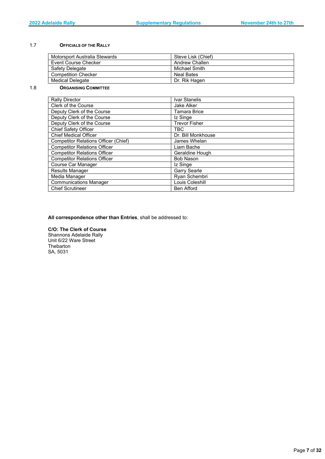# 1.7 **OFFICIALS OF THE RALLY**

| Motorsport Australia Stewards | Steve Lisk (Chief) |
|-------------------------------|--------------------|
| Event Course Checker          | Andrew Challen     |
| Safety Delegate               | Michael Smith      |
| <b>Competition Checker</b>    | Neal Bates         |
| Medical Delegate              | Dr. Rik Hagen      |

# 1.8 **ORGANISING COMMITTEE**

| <b>Rally Director</b>                       | Ivar Stanelis        |
|---------------------------------------------|----------------------|
| Clerk of the Course                         | Jake Alker           |
| Deputy Clerk of the Course                  | <b>Tamara Brice</b>  |
| Deputy Clerk of the Course                  | Iz Singe             |
| Deputy Clerk of the Course                  | <b>Trevor Fisher</b> |
| Chief Safety Officer                        | <b>TBC</b>           |
| <b>Chief Medical Officer</b>                | Dr. Bill Monkhouse   |
| <b>Competitor Relations Officer (Chief)</b> | James Whelan         |
| <b>Competitor Relations Officer</b>         | Liam Bache           |
| <b>Competitor Relations Officer</b>         | Geraldine Hough      |
| <b>Competitor Relations Officer</b>         | <b>Bob Nason</b>     |
| Course Car Manager                          | Iz Singe             |
| <b>Results Manager</b>                      | <b>Garry Searle</b>  |
| Media Manager                               | Ryan Schembri        |
| <b>Communications Manager</b>               | Louis Coleshill      |
| <b>Chief Scrutineer</b>                     | <b>Ben Afford</b>    |

# **All correspondence other than Entries**, shall be addressed to:

#### **C/O: The Clerk of Course**

Shannons Adelaide Rally Unit 6/22 Ware Street **Thebarton** SA, 5031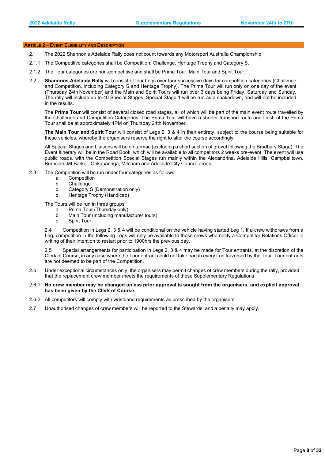### <span id="page-7-0"></span> **ARTICLE 2** − **EVENT ELIGIBILITY AND DESCRIPTION**

- 2.1 The 2022 Shannon's Adelaide Rally does not count towards any Motorsport Australia Championship.
- 2.1.1 The Competitive categories shall be Competition, Challenge, Heritage Trophy and Category S.
- 2.1.2 The Tour categories are non-competitive and shall be Prima Tour, Main Tour and Spirit Tour.
- 2.2 **Shannons Adelaide Rally** will consist of four Legs over four successive days for competition categories (Challenge and Competition, including Category S and Heritage Trophy). The Prima Tour will run only on one day of the event (Thursday 24th November) and the Main and Spirit Tours will run over 3 days being Friday, Saturday and Sunday. The rally will include up to 40 Special Stages. Special Stage 1 will be run as a shakedown, and will not be included in the results.

The **Prima Tour** will consist of several closed road stages, all of which will be part of the main event route travelled by the Challenge and Competition Categories. The Prima Tour will have a shorter transport route and finish of the Prima Tour shall be at approximately 4PM on Thursday 24th November.

**The Main Tour and Spirit Tour** will consist of Legs 2, 3 & 4 in their entirety, subject to the course being suitable for these vehicles, whereby the organisers reserve the right to alter the course accordingly.

All Special Stages and Liaisons will be on tarmac (excluding a short section of gravel following the Bradbury Stage). The Event Itinerary will be in the Road Book, which will be available to all competitors 2 weeks pre-event. The event will use public roads, with the Competition Special Stages run mainly within the Alexandrina, Adelaide Hills, Campbelltown, Burnside, Mt Barker, Onkaparinga, Mitcham and Adelaide City Council areas.

- 2.3 The Competition will be run under four categories as follows:
	- a. Competition
	- b. Challenge
	- c. Category S (Demonstration only)
	- d. Heritage Trophy (Handicap)

The Tours will be run in three groups

- a. Prima Tour (Thursday only)
- b. Main Tour (including manufacturer tours)
- <span id="page-7-1"></span>c. Spirit Tour

2.4 Competition in Legs 2, 3 & 4 will be conditional on the vehicle having started Leg 1. If a crew withdraws from a Leg, competition in the following Legs will only be available to those crews who notify a Competitor Relations Officer in writing of their intention to restart prior to 1900hrs the previous day.

2.5 Special arrangements for participation in Legs 2, 3 & 4 may be made for Tour entrants, at the discretion of the Clerk of Course, in any case where the Tour entrant could not take part in every Leg traversed by the Tour. Tour entrants are not deemed to be part of the Competition.

2.6 Under exceptional circumstances only, the organisers may permit changes of crew members during the rally, provided that the replacement crew member meets the requirements of these Supplementary Regulations.

# 2.6.1 **No crew member may be changed unless prior approval is sought from the organisers, and explicit approval has been given by the Clerk of Course.**

- 2.6.2 All competitors will comply with wristband requirements as prescribed by the organisers.
- 2.7 Unauthorised changes of crew members will be reported to the Stewards, and a penalty may apply.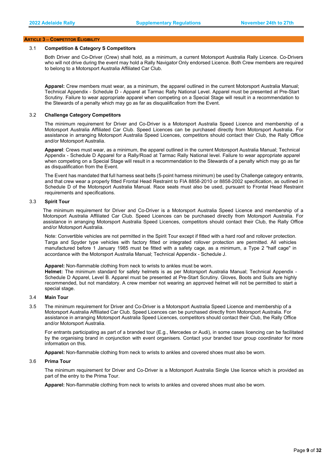#### **ARTICLE 3** − **COMPETITOR ELIGIBILITY**

#### 3.1 **Competition & Category S Competitors**

Both Driver and Co-Driver (Crew) shall hold, as a minimum, a current Motorsport Australia Rally Licence. Co-Drivers who will not drive during the event may hold a Rally Navigator Only endorsed Licence. Both Crew members are required to belong to a Motorsport Australia Affiliated Car Club.

**Apparel:** Crew members must wear, as a minimum, the apparel outlined in the current Motorsport Australia Manual; Technical Appendix - Schedule D - Apparel at Tarmac Rally National Level. Apparel must be presented at Pre-Start Scrutiny. Failure to wear appropriate apparel when competing on a Special Stage will result in a recommendation to the Stewards of a penalty which may go as far as disqualification from the Event.

#### 3.2 **Challenge Category Competitors**

The minimum requirement for Driver and Co-Driver is a Motorsport Australia Speed Licence and membership of a Motorsport Australia Affiliated Car Club. Speed Licences can be purchased directly from Motorsport Australia. For assistance in arranging Motorsport Australia Speed Licences, competitors should contact their Club, the Rally Office and/or Motorsport Australia.

**Apparel**: Crews must wear, as a minimum, the apparel outlined in the current Motorsport Australia Manual; Technical Appendix - Schedule D Apparel for a Rally/Road at Tarmac Rally National level. Failure to wear appropriate apparel when competing on a Special Stage will result in a recommendation to the Stewards of a penalty which may go as far as disqualification from the Event.

The Event has mandated that full harness seat belts (5-point harness minimum) be used by Challenge category entrants, and that crew wear a properly fitted Frontal Head Restraint to FIA 8858-2010 or 8858-2002 specification, as outlined in Schedule D of the Motorsport Australia Manual. Race seats must also be used, pursuant to Frontal Head Restraint requirements and specifications.

#### 3.3 **Spirit Tour**

The minimum requirement for Driver and Co-Driver is a Motorsport Australia Speed Licence and membership of a Motorsport Australia Affiliated Car Club. Speed Licences can be purchased directly from Motorsport Australia. For assistance in arranging Motorsport Australia Speed Licences, competitors should contact their Club, the Rally Office and/or Motorsport Australia.

Note: Convertible vehicles are not permitted in the Spirit Tour except if fitted with a hard roof and rollover protection. Targa and Spyder type vehicles with factory fitted or integrated rollover protection are permitted. All vehicles manufactured before 1 January 1985 must be fitted with a safety cage, as a minimum, a Type 2 "half cage" in accordance with the Motorsport Australia Manual; Technical Appendix - Schedule J.

**Apparel:** Non-flammable clothing from neck to wrists to ankles must be worn.

**Helmet:** The minimum standard for safety helmets is as per Motorsport Australia Manual; Technical Appendix - Schedule D Apparel, Level B. Apparel must be presented at Pre-Start Scrutiny. Gloves, Boots and Suits are highly recommended, but not mandatory. A crew member not wearing an approved helmet will not be permitted to start a special stage.

# 3.4 **Main Tour**

3.5 The minimum requirement for Driver and Co-Driver is a Motorsport Australia Speed Licence and membership of a Motorsport Australia Affiliated Car Club. Speed Licences can be purchased directly from Motorsport Australia. For assistance in arranging Motorsport Australia Speed Licences, competitors should contact their Club, the Rally Office and/or Motorsport Australia.

For entrants participating as part of a branded tour (E.g., Mercedes or Audi), in some cases licencing can be facilitated by the organising brand in conjunction with event organisers. Contact your branded tour group coordinator for more information on this.

**Apparel:** Non-flammable clothing from neck to wrists to ankles and covered shoes must also be worn.

#### 3.6 **Prima Tour**

The minimum requirement for Driver and Co-Driver is a Motorsport Australia Single Use licence which is provided as part of the entry to the Prima Tour.

**Apparel:** Non-flammable clothing from neck to wrists to ankles and covered shoes must also be worn.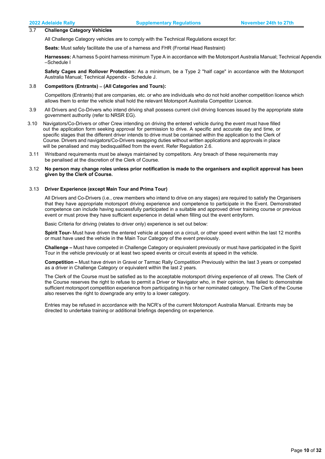#### 3.7 **Challenge Category Vehicles**

All Challenge Category vehicles are to comply with the Technical Regulations except for:

**Seats:** Must safely facilitate the use of a harness and FHR (Frontal Head Restraint)

**Harnesses:** A harness 5-point harness minimum Type A in accordance with the Motorsport Australia Manual; Technical Appendix –Schedule I

**Safety Cages and Rollover Protection:** As a minimum, be a Type 2 "half cage" in accordance with the Motorsport Australia Manual; Technical Appendix - Schedule J.

#### 3.8 **Competitors (Entrants)** − **(All Categories and Tours):**

Competitors (Entrants) that are companies, etc. or who are individuals who do not hold another competition licence which allows them to enter the vehicle shall hold the relevant Motorsport Australia Competitor Licence.

- 3.9 All Drivers and Co-Drivers who intend driving shall possess current civil driving licences issued by the appropriate state government authority (refer to NRSR EG).
- 3.10 Navigators/Co-Drivers or other Crew intending on driving the entered vehicle during the event must have filled out the application form seeking approval for permission to drive. A specific and accurate day and time, or specific stages that the different driver intends to drive must be contained within the application to the Clerk of Course. Drivers and navigators/Co-Drivers swapping duties without written applications and approvals in place will be penalised and may bedisqualified from the event. Refer Regulation 2.6.
- 3.11 Wristband requirements must be always maintained by competitors. Any breach of these requirements may be penalised at the discretion of the Clerk of Course.

#### 3.12 **No person may change roles unless prior notification is made to the organisers and explicit approval has been given by the Clerk of Course.**

# 3.13 **Driver Experience (except Main Tour and Prima Tour)**

All Drivers and Co-Drivers (i.e., crew members who intend to drive on any stages) are required to satisfy the Organisers that they have appropriate motorsport driving experience and competence to participate in the Event. Demonstrated competence can include having successfully participated in a suitable and approved driver training course or previous event or must prove they have sufficient experience in detail when filling out the event entryform.

Basic Criteria for driving (relates to driver only) experience is set out below:

**Spirit Tour-** Must have driven the entered vehicle at speed on a circuit, or other speed event within the last 12 months or must have used the vehicle in the Main Tour Category of the event previously.

**Challenge –** Must have competed in Challenge Category or equivalent previously or must have participated in the Spirit Tour in the vehicle previously or at least two speed events or circuit events at speed in the vehicle.

**Competition –** Must have driven in Gravel or Tarmac Rally Competition Previously within the last 3 years or competed as a driver in Challenge Category or equivalent within the last 2 years.

The Clerk of the Course must be satisfied as to the acceptable motorsport driving experience of all crews. The Clerk of the Course reserves the right to refuse to permit a Driver or Navigator who, in their opinion, has failed to demonstrate sufficient motorsport competition experience from participating in his or her nominated category. The Clerk of the Course also reserves the right to downgrade any entry to a lower category.

Entries may be refused in accordance with the NCR's of the current Motorsport Australia Manual. Entrants may be directed to undertake training or additional briefings depending on experience.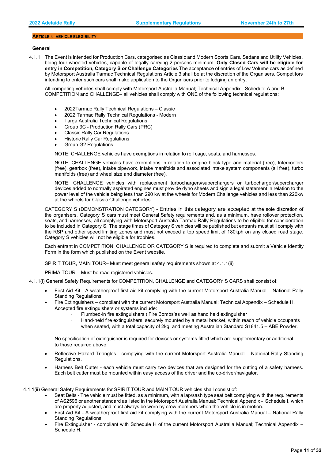#### **ARTICLE 4 - VEHICLE ELEGIBILITY**

#### **General**

4.1.1 The Event is intended for Production Cars, categorised as Classic and Modern Sports Cars, Sedans and Utility Vehicles, being four-wheeled vehicles, capable of legally carrying 2 persons minimum. **Only Closed Cars will be eligible for entry in Competition, Category S or Challenge Categories** The acceptance of entries of Low Volume cars as defined by Motorsport Australia Tarmac Technical Regulations Article 3 shall be at the discretion of the Organisers. Competitors intending to enter such cars shall make application to the Organisers prior to lodging an entry.

All competing vehicles shall comply with Motorsport Australia Manual; Technical Appendix - Schedule A and B. COMPETITION and CHALLENGE– all vehicles shall comply with ONE of the following technical regulations:

- 2022Tarmac Rally Technical Regulations Classic
- 2022 Tarmac Rally Technical Regulations Modern
- Targa Australia Technical Regulations
- Group 3C Production Rally Cars (PRC)
- Classic Rally Car Regulations
- Historic Rally Car Regulations
- Group G2 Regulations

NOTE: CHALLENGE vehicles have exemptions in relation to roll cage, seats, and harnesses.

NOTE: CHALLENGE vehicles have exemptions in relation to engine block type and material (free), Intercoolers (free), gearbox (free), intake pipework, intake manifolds and associated intake system components (all free), turbo manifolds (free) and wheel size and diameter (free).

NOTE: CHALLENGE vehicles with replacement turbochargers/superchargers or turbocharger/supercharger devices added to normally aspirated engines must provide dyno sheets and sign a legal statement in relation to the power level of the vehicle being less than 290 kw at the wheels for Modern Challenge vehicles and less than 220kw at the wheels for Classic Challenge vehicles.

CATEGORY S (DEMONSTRATION CATEGORY) - Entries in this category are accepted at the sole discretion of the organisers. Category S cars must meet General Safety requirements and, as a minimum, have rollover protection, seats, and harnesses, all complying with Motorsport Australia Tarmac Rally Regulations to be eligible for consideration to be included in Category S. The stage times of Category S vehicles will be published but entrants must still comply with the RSP and other speed limiting zones and must not exceed a top speed limit of 180kph on any closed road stage. Category S vehicles will not be eligible for trophies.

Each entrant in COMPETITION, CHALLENGE OR CATEGORY S is required to complete and submit a Vehicle Identity Form in the form which published on the Event website.

SPIRIT TOUR, MAIN TOUR– Must meet general safety requirements shown at 4.1.1(ii)

PRIMA TOUR – Must be road registered vehicles.

- 4.1.1(i) General Safety Requirements for COMPETITION, CHALLENGE and CATEGORY S CARS shall consist of:
	- First Aid Kit A weatherproof first aid kit complying with the current Motorsport Australia Manual National Rally Standing Regulations
	- Fire Extinguishers compliant with the current Motorsport Australia Manual; Technical Appendix Schedule H. Accepted fire extinguishers or systems include:
		- Plumbed-in fire extinguishers ('Fire Bombs'as well as hand held extinguisher
		- Hand-held fire extinguishers, securely mounted by a metal bracket, within reach of vehicle occupants when seated, with a total capacity of 2kg, and meeting Australian Standard S1841.5 – ABE Powder.

No specification of extinguisher is required for devices or systems fitted which are supplementary or additional to those required above.

- Reflective Hazard Triangles complying with the current Motorsport Australia Manual National Rally Standing Regulations.
- Harness Belt Cutter each vehicle must carry two devices that are designed for the cutting of a safety harness. Each belt cutter must be mounted within easy access of the driver and the co-driver/navigator.

4.1.1(ii) General Safety Requirements for SPIRIT TOUR and MAIN TOUR vehicles shall consist of:

- Seat Belts The vehicle must be fitted, as a minimum, with a lap/sash type seat belt complying with the requirements of AS2596 or another standard as listed in the Motorsport Australia Manual; Technical Appendix - Schedule I, which are properly adjusted, and must always be worn by crew members when the vehicle is in motion.
- First Aid Kit A weatherproof first aid kit complying with the current Motorsport Australia Manual National Rally Standing Regulations
- Fire Extinguisher compliant with Schedule H of the current Motorsport Australia Manual; Technical Appendix Schedule H.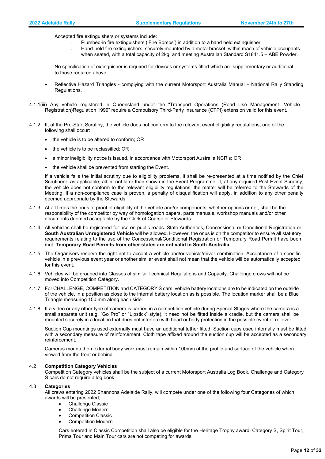Accepted fire extinguishers or systems include:

- Plumbed-in fire extinguishers ('Fire Bombs') in addition to a hand held extinguisher
- Hand-held fire extinguishers, securely mounted by a metal bracket, within reach of vehicle occupants when seated, with a total capacity of 2kg, and meeting Australian Standard S1841.5 – ABE Powder.

No specification of extinguisher is required for devices or systems fitted which are supplementary or additional to those required above.

- Reflective Hazard Triangles complying with the current Motorsport Australia Manual National Rally Standing Regulations.
- 4.1.1(iii) Any vehicle registered in Queensland under the "Transport Operations (Road Use Management—Vehicle Registration)Regulation 1999" require a Compulsory Third-Party Insurance (CTPI) extension valid for this event.
- 4.1.2 If, at the Pre-Start Scrutiny, the vehicle does not conform to the relevant event eligibility regulations, one of the following shall occur:
	- the vehicle is to be altered to conform; OR
	- the vehicle is to be reclassified; OR
	- a minor ineligibility notice is issued, in accordance with Motorsport Australia NCR's; OR
	- the vehicle shall be prevented from starting the Event.

If a vehicle fails the initial scrutiny due to eligibility problems, it shall be re-presented at a time notified by the Chief Scrutineer, as applicable, albeit not later than shown in the Event Programme. If, at any required Post-Event Scrutiny, the vehicle does not conform to the relevant eligibility regulations, the matter will be referred to the Stewards of the Meeting. If a non-compliance case is proven, a penalty of disqualification will apply, in addition to any other penalty deemed appropriate by the Stewards.

- 4.1.3 At all times the onus of proof of eligibility of the vehicle and/or components, whether options or not, shall be the responsibility of the competitor by way of homologation papers, parts manuals, workshop manuals and/or other documents deemed acceptable by the Clerk of Course or Stewards.
- 4.1.4 All vehicles shall be registered for use on public roads. State Authorities, Concessional or Conditional Registration or **South Australian Unregistered Vehicle** will be allowed. However, the onus is on the competitor to ensure all statutory requirements relating to the use of the Concessional/Conditional Registration or Temporary Road Permit have been met. **Temporary Road Permits from other states are not valid in South Australia.**
- 4.1.5 The Organisers reserve the right not to accept a vehicle and/or vehicle/driver combination. Acceptance of a specific vehicle in a previous event year or another similar event shall not mean that the vehicle will be automatically accepted for this event.
- 4.1.6 Vehicles will be grouped into Classes of similar Technical Regulations and Capacity. Challenge crews will not be moved into Competition Category.
- 4.1.7 For CHALLENGE, COMPETITION and CATEGORY S cars, vehicle battery locations are to be indicated on the outside of the vehicle, in a position as close to the internal battery location as is possible. The location marker shall be a Blue Triangle measuring 150 mm along each side.
- 4.1.8 If a video or any other type of camera is carried in a competition vehicle during Special Stages where the camera is a small separate unit (e.g. "Go Pro" or "Lipstick" style), it need not be fitted inside a cradle, but the camera shall be mounted securely in a location that does not interfere with head or body protection in the possible event of rollover.

Suction Cup mountings used externally must have an additional tether fitted. Suction cups used internally must be fitted with a secondary measure of reinforcement. Cloth tape affixed around the suction cup will be accepted as a secondary reinforcement.

Cameras mounted on external body work must remain within 100mm of the profile and surface of the vehicle when viewed from the front or behind.

# 4.2 **Competition Category Vehicles**

Competition Category vehicles shall be the subject of a current Motorsport Australia Log Book. Challenge and Category S cars do not require a log book.

#### 4.3 **Categories**

All crews entering 2022 Shannons Adelaide Rally, will compete under one of the following four Categories of which awards will be presented;

- Challenge Classic
- Challenge Modern
- Competition Classic
- Competition Modern

Cars entered in Classic Competition shall also be eligible for the Heritage Trophy award. Category S, Spirit Tour, Prima Tour and Main Tour cars are not competing for awards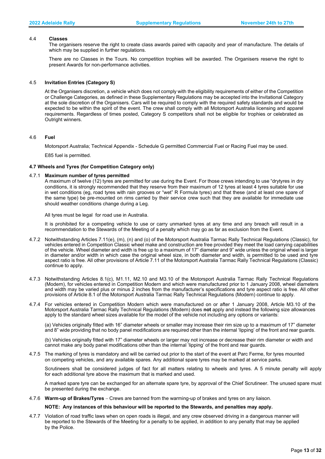# 4.4 **Classes**

The organisers reserve the right to create class awards paired with capacity and year of manufacture. The details of which may be supplied in further regulations.

There are no Classes in the Tours. No competition trophies will be awarded. The Organisers reserve the right to present Awards for non-performance activities.

#### 4.5 **Invitation Entries (Category S)**

At the Organisers discretion, a vehicle which does not comply with the eligibility requirements of either of the Competition or Challenge Categories, as defined in these Supplementary Regulations may be accepted into the Invitational Category at the sole discretion of the Organisers. Cars will be required to comply with the required safety standards and would be expected to be within the spirit of the event. The crew shall comply with all Motorsport Australia licensing and apparel requirements. Regardless of times posted, Category S competitors shall not be eligible for trophies or celebrated as Outright winners.

#### 4.6 **Fuel**

Motorsport Australia; Technical Appendix - Schedule G permitted Commercial Fuel or Racing Fuel may be used.

E85 fuel is permitted.

#### **4.7 Wheels and Tyres (for Competition Category only)**

#### 4.7.1 **Maximum number of tyres permitted**

A maximum of twelve (12) tyres are permitted for use during the Event. For those crews intending to use "drytyres in dry conditions, it is strongly recommended that they reserve from their maximum of 12 tyres at least 4 tyres suitable for use in wet conditions (eg, road tyres with rain grooves or "wet" R Formula tyres) and that these (and at least one spare of the same type) be pre-mounted on rims carried by their service crew such that they are available for immediate use should weather conditions change during a Leg.

All tyres must be legal for road use in Australia.

It is prohibited for a competing vehicle to use or carry unmarked tyres at any time and any breach will result in a recommendation to the Stewards of the Meeting of a penalty which may go as far as exclusion from the Event.

- 4.7.2 Notwithstanding Articles 7.11(e), (m), (n) and (o) of the Motorsport Australia Tarmac Rally Technical Regulations (Classic), for vehicles entered in Competition Classic wheel make and construction are free provided they meet the load carrying capabilities of the vehicle. Wheel diameter and width is free up to a maximum of 17" diameter and 9" wide unless the original wheel is larger in diameter and/or width in which case the original wheel size, in both diameter and width, is permitted to be used and tyre aspect ratio is free. All other provisions of Article 7.11 of the Motorsport Australia Tarmac Rally Technical Regulations (Classic) continue to apply.
- 4.7.3 Notwithstanding Articles 8.1(c), M1.11, M2.10 and M3.10 of the Motorsport Australia Tarmac Rally Technical Regulations (Modern), for vehicles entered in Competition Modern and which were manufactured prior to 1 January 2008, wheel diameters and width may be varied plus or minus 2 inches from the manufacturer's specifications and tyre aspect ratio is free. All other provisions of Article 8.1 of the Motorsport Australia Tarmac Rally Technical Regulations (Modern) continue to apply.
- 4.7.4 For vehicles entered in Competition Modern which were manufactured on or after 1 January 2008, Article M3.10 of the Motorsport Australia Tarmac Rally Technical Regulations (Modern) does **not** apply and instead the following size allowances apply to the standard wheel sizes available for the model of the vehicle not including any options or variants:

(a) Vehicles originally fitted with 16" diameter wheels or smaller may increase their rim size up to a maximum of 17" diameter and 8" wide providing that no body panel modifications are required other than the internal 'lipping' of the front and rear guards.

(b) Vehicles originally fitted with 17" diameter wheels or larger may not increase or decrease their rim diameter or width and cannot make any body panel modifications other than the internal 'lipping' of the front and rear guards.

4.7.5 The marking of tyres is mandatory and will be carried out prior to the start of the event at Parc Ferme, for tyres mounted on competing vehicles, and any available spares. Any additional spare tyres may be marked at service parks.

Scrutineers shall be considered judges of fact for all matters relating to wheels and tyres. A 5 minute penalty will apply for each additional tyre above the maximum that is marked and used.

A marked spare tyre can be exchanged for an alternate spare tyre, by approval of the Chief Scrutineer. The unused spare must be presented during the exchange.

4.7.6 **Warm-up of Brakes/Tyres** − Crews are banned from the warming-up of brakes and tyres on any liaison.

#### **NOTE: Any instances of this behaviour will be reported to the Stewards, and penalties may apply.**

4.7.7 Violation of road traffic laws when on open roads is illegal, and any crew observed driving in a dangerous manner will be reported to the Stewards of the Meeting for a penalty to be applied, in addition to any penalty that may be applied by the Police.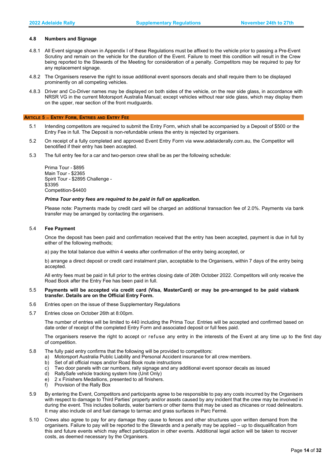#### **4.8 Numbers and Signage**

- 4.8.1 All Event signage shown in Appendix I of these Regulations must be affixed to the vehicle prior to passing a Pre-Event Scrutiny and remain on the vehicle for the duration of the Event. Failure to meet this condition will result in the Crew being reported to the Stewards of the Meeting for consideration of a penalty. Competitors may be required to pay for any replacement signage.
- 4.8.2 The Organisers reserve the right to issue additional event sponsors decals and shall require them to be displayed prominently on all competing vehicles.
- 4.8.3 Driver and Co-Driver names may be displayed on both sides of the vehicle, on the rear side glass, in accordance with NRSR VG in the current Motorsport Australia Manual; except vehicles without rear side glass, which may display them on the upper, rear section of the front mudguards.

#### <span id="page-13-0"></span>**ARTICLE 5** − **ENTRY FORM, ENTRIES AND ENTRY FEE**

- 5.1 Intending competitors are required to submit the Entry Form, which shall be accompanied by a Deposit of \$500 or the Entry Fee in full. The Deposit is non-refundable unless the entry is rejected by organisers.
- 5.2 On receipt of a fully completed and approved Event Entry Form via www.adelaiderally.com.au, the Competitor will benotified if their entry has been accepted.
- 5.3 The full entry fee for a car and two-person crew shall be as per the following schedule:

Prima Tour - \$895 Main Tour - \$2365 Spirit Tour - \$2895 Challenge - \$3395 Competition-\$4400

#### *Prima Tour entry fees are required to be paid in full on application.*

Please note: Payments made by credit card will be charged an additional transaction fee of 2.0%. Payments via bank transfer may be arranged by contacting the organisers.

#### 5.4 **Fee Payment**

Once the deposit has been paid and confirmation received that the entry has been accepted, payment is due in full by either of the following methods;

a) pay the total balance due within 4 weeks after confirmation of the entry being accepted, or

b) arrange a direct deposit or credit card instalment plan, acceptable to the Organisers, within 7 days of the entry being accepted.

All entry fees must be paid in full prior to the entries closing date of 26th October 2022. Competitors will only receive the Road Book after the Entry Fee has been paid in full.

## 5.5 **Payments will be accepted via credit card (Visa, MasterCard) or may be pre-arranged to be paid viabank transfer. Details are on the Official Entry Form.**

- 5.6 Entries open on the issue of these Supplementary Regulations
- 5.7 Entries close on October 26th at 8:00pm.

The number of entries will be limited to 440 including the Prima Tour. Entries will be accepted and confirmed based on date order of receipt of the completed Entry Form and associated deposit or full fees paid.

The organisers reserve the right to accept or refuse any entry in the interests of the Event at any time up to the first day of competition.

- 5.8 The fully paid entry confirms that the following will be provided to competitors:
	- a) Motorsport Australia Public Liability and Personal Accident insurance for all crew members.
	- b) Set of all official maps and/or Road Book route instructions
	- c) Two door panels with car numbers, rally signage and any additional event sponsor decals as issued<br>d) RallySafe vehicle tracking system hire (Unit Only)
	- RallySafe vehicle tracking system hire (Unit Only)
	- e) 2 x Finishers Medallions, presented to all finishers.
	- f) Provision of the Rally Box
- 5.9 By entering the Event, Competitors and participants agree to be responsible to pay any costs incurred by the Organisers with respect to damage to Third Parties' property and/or assets caused by any incident that the crew may be involved in during the event. This includes bollards, water barriers or other items that may be used as chicanes or road delineators. It may also include oil and fuel damage to tarmac and grass surfaces in Parc Fermé.
- 5.10 Crews also agree to pay for any damage they cause to fences and other structures upon written demand from the organisers. Failure to pay will be reported to the Stewards and a penalty may be applied – up to disqualification from this and future events which may affect participation in other events. Additional legal action will be taken to recover costs, as deemed necessary by the Organisers.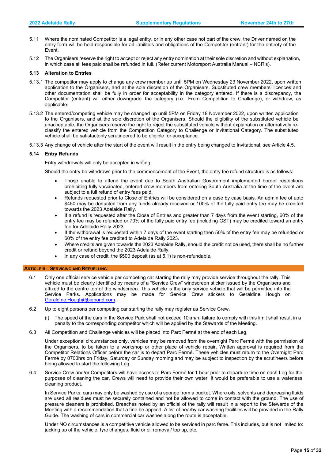- 5.11 Where the nominated Competitor is a legal entity, or in any other case not part of the crew, the Driver named on the entry form will be held responsible for all liabilities and obligations of the Competitor (entrant) for the entirety of the Event.
- 5.12 The Organisers reserve the right to accept or reject any entry nomination at their sole discretion and without explanation, in which case all fees paid shall be refunded in full. (Refer current Motorsport Australia Manual – NCR's).

#### **5.13 Alteration to Entries**

- 5.13.1 The competitor may apply to change any crew member up until 5PM on Wednesday 23 November 2022, upon written application to the Organisers, and at the sole discretion of the Organisers. Substituted crew members' licences and other documentation shall be fully in order for acceptability in the category entered. If there is a discrepancy, the Competitor (entrant) will either downgrade the category (i.e., From Competition to Challenge), or withdraw, as applicable.
- 5.13.2 The entered/competing vehicle may be changed up until 5PM on Friday 18 November 2022, upon written application to the Organisers, and at the sole discretion of the Organisers. Should the eligibility of the substituted vehicle be unacceptable, the Organisers reserve the right to reject the substituted vehicle without explanation or alternatively reclassify the entered vehicle from the Competition Category to Challenge or Invitational Category. The substituted vehicle shall be satisfactorily scrutineered to be eligible for acceptance.
- 5.13.3 Any change of vehicle after the start of the event will result in the entry being changed to Invitational, see Article 4.5.

#### **5.14 Entry Refunds**

Entry withdrawals will only be accepted in writing.

Should the entry be withdrawn prior to the commencement of the Event, the entry fee refund structure is as follows:

- Those unable to attend the event due to South Australian Government implemented border restrictions prohibiting fully vaccinated, entered crew members from entering South Australia at the time of the event are subject to a full refund of entry fees paid.
- Refunds requested prior to Close of Entries will be considered on a case by case basis. An admin fee of upto \$450 may be deducted from any funds already received or 100% of the fully paid entry fee may be credited towards the 2023 Adelaide Rally.
- If a refund is requested after the Close of Entries and greater than 7 days from the event starting, 60% of the entry fee may be refunded or 70% of the fully paid entry fee (including GST) may be credited toward an entry fee for Adelaide Rally 2023.
- If the withdrawal is requested within 7 days of the event starting then 50% of the entry fee may be refunded or 60% of the entry fee credited to Adelaide Rally 2023.
- Where credits are given towards the 2023 Adelaide Rally, should the credit not be used, there shall be no further credit or refund beyond the 2023 Adelaide Rally.
- In any case of credit, the \$500 deposit (as at 5.1) is non-refundable.

#### <span id="page-14-0"></span> **ARTICLE 6** − **SERVICING AND REFUELLING**

- 6.1 Only one official service vehicle per competing car starting the rally may provide service throughout the rally. This vehicle must be clearly identified by means of a "Service Crew" windscreen sticker issued by the Organisers and affixed to the centre top of the windscreen. This vehicle is the only service vehicle that will be permitted into the Service Parks. Applications may be made for Service Crew stickers to Geraldine Hough on [Geraldine.Hough@bigpond.com.](mailto:Geraldine.Hough@bigpond.com)
- 6.2 Up to eight persons per competing car starting the rally may register as Service Crew.
	- (i) The speed of the cars in the Service Park shall not exceed 10km/h; failure to comply with this limit shall result in a penalty to the corresponding competitor which will be applied by the Stewards of the Meeting.
- 6.3 All Competition and Challenge vehicles will be placed into Parc Fermé at the end of each Leg.

Under exceptional circumstances only, vehicles may be removed from the overnight Parc Fermé with the permission of the Organisers, to be taken to a workshop or other place of vehicle repair. Written approval is required from the Competitor Relations Officer before the car is to depart Parc Fermé. These vehicles must return to the Overnight Parc Fermé by 0700hrs on Friday, Saturday or Sunday morning and may be subject to inspection by the scrutineers before being allowed to start the following Leg.

6.4 Service Crew and/or Competitors will have access to Parc Fermé for 1 hour prior to departure time on each Leg for the purposes of cleaning the car. Crews will need to provide their own water. It would be preferable to use a waterless cleaning product.

In Service Parks, cars may only be washed by use of a sponge from a bucket. Where oils, solvents and degreasing fluids are used all residues must be securely contained and not be allowed to come in contact with the ground. The use of pressure cleaners is prohibited. Breaches noted by an official of the rally will result in a report to the Stewards of the Meeting with a recommendation that a fine be applied. A list of nearby car washing facilities will be provided in the Rally Guide. The washing of cars in commercial car washes along the route is acceptable.

Under NO circumstances is a competitive vehicle allowed to be serviced in parc feme. This includes, but is not limited to: jacking up of the vehicle, tyre changes, fluid or oil removal/ top up, etc.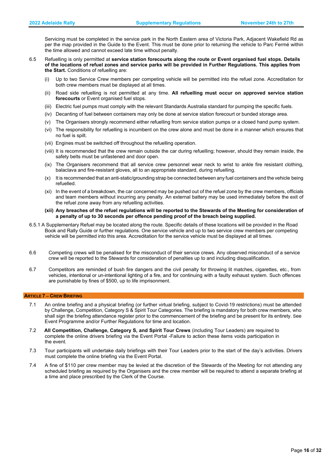Servicing must be completed in the service park in the North Eastern area of Victoria Park, Adjacent Wakefield Rd as per the map provided in the Guide to the Event. This must be done prior to returning the vehicle to Parc Fermé within the time allowed and cannot exceed late time without penalty.

- 6.5 Refuelling is only permitted at **service station forecourts along the route or Event organised fuel stops. Details of the locations of refuel zones and service parks will be provided in Further Regulations. This applies from the Start.** Conditions of refuelling are:
	- (i) Up to two Service Crew members per competing vehicle will be permitted into the refuel zone. Accreditation for both crew members must be displayed at all times.
	- (ii) Road side refuelling is not permitted at any time. **All refuelling must occur on approved service station forecourts** or Event organised fuel stops.
	- (iii) Electric fuel pumps must comply with the relevant Standards Australia standard for pumping the specific fuels.
	- (iv) Decanting of fuel between containers may only be done at service station forecourt or bunded storage area.
	- (v) The Organisers strongly recommend either refuelling from service station pumps or a closed hand pump system.
	- (vi) The responsibility for refuelling is incumbent on the crew alone and must be done in a manner which ensures that no fuel is spilt.
	- (vii) Engines must be switched off throughout the refuelling operation.
	- (viii) It is recommended that the crew remain outside the car during refuelling; however, should they remain inside, the safety belts must be unfastened and door open.
	- (ix) The Organisers recommend that all service crew personnel wear neck to wrist to ankle fire resistant clothing, balaclava and fire-resistant gloves, all to an appropriate standard, during refuelling.
	- (x) It is recommended that an anti-static/grounding strap be connected between any fuel containers and the vehicle being refuelled.
	- (xi) In the event of a breakdown, the car concerned may be pushed out of the refuel zone by the crew members, officials and team members without incurring any penalty. An external battery may be used immediately before the exit of the refuel zone away from any refuelling activities.

**(xii) Any breaches of the refuel regulations will be reported to the Stewards of the Meeting for consideration of a penalty of up to 30 seconds per offence pending proof of the breach being supplied.**

- 6.5.1 A Supplementary Refuel may be located along the route. Specific details of these locations will be provided in the Road Book and Rally Guide or further regulations. One service vehicle and up to two service crew members per competing vehicle will be permitted into this area. Accreditation for the service vehicle must be displayed at all times.
- 6.6 Competing crews will be penalised for the misconduct of their service crews. Any observed misconduct of a service crew will be reported to the Stewards for consideration of penalties up to and including disqualification.
- 6.7 Competitors are reminded of bush fire dangers and the civil penalty for throwing lit matches, cigarettes, etc., from vehicles, intentional or un-intentional lighting of a fire, and for continuing with a faulty exhaust system. Such offences are punishable by fines of \$500, up to life imprisonment.

# <span id="page-15-0"></span> **ARTICLE 7** − **CREW BRIEFING**

- 7.1 An online briefing and a physical briefing (or further virtual briefing, subject to Covid-19 restrictions) must be attended by Challenge, Competition, Category S & Spirit Tour Categories. The briefing is mandatory for both crew members, who shall sign the briefing attendance register prior to the commencement of the briefing and be present for its entirety. See Event Programme and/or Further Regulations for time and location.
- 7.2 **All Competition, Challenge, Category S, and Spirit Tour Crews** (including Tour Leaders) are required to complete the online drivers briefing via the Event Portal - Failure to action these items voids participation in the event.
- 7.3 Tour participants will undertake daily briefings with their Tour Leaders prior to the start of the day's activities. Drivers must complete the online briefing via the Event Portal.
- 7.4 A fine of \$110 per crew member may be levied at the discretion of the Stewards of the Meeting for not attending any scheduled briefing as required by the Organisers and the crew member will be required to attend a separate briefing at a time and place prescribed by the Clerk of the Course.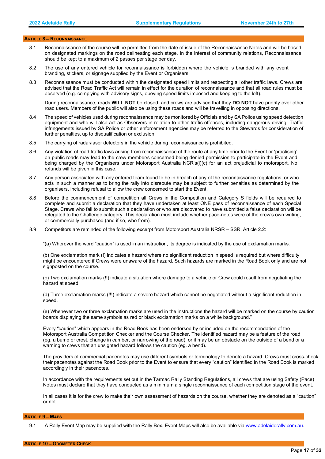#### <span id="page-16-0"></span> **ARTICLE 8** − **RECONNAISSANCE**

- 8.1 Reconnaissance of the course will be permitted from the date of issue of the Reconnaissance Notes and will be based on designated markings on the road delineating each stage. In the interest of community relations, Reconnaissance should be kept to a maximum of 2 passes per stage per day.
- 8.2 The use of any entered vehicle for reconnaissance is forbidden where the vehicle is branded with any event branding, stickers, or signage supplied by the Event or Organisers.
- 8.3 Reconnaissance must be conducted within the designated speed limits and respecting all other traffic laws. Crews are advised that the Road Traffic Act will remain in effect for the duration of reconnaissance and that all road rules must be observed (e.g. complying with advisory signs, obeying speed limits imposed and keeping to the left).

During reconnaissance, roads **WILL NOT** be closed, and crews are advised that they **DO NOT** have priority over other road users. Members of the public will also be using these roads and will be travelling in opposing directions.

- 8.4 The speed of vehicles used during reconnaissance may be monitored by Officials and by SA Police using speed detection equipment and who will also act as Observers in relation to other traffic offences, including dangerous driving. Traffic infringements issued by SA Police or other enforcement agencies may be referred to the Stewards for consideration of further penalties, up to disqualification or exclusion.
- 8.5 The carrying of radar/laser detectors in the vehicle during reconnaissance is prohibited.
- 8.6 Any violation of road traffic laws arising from reconnaissance of the route at any time prior to the Event or 'practising' on public roads may lead to the crew member/s concerned being denied permission to participate in the Event and being charged by the Organisers under Motorsport Australia NCR's(i)(c) for an act prejudicial to motorsport. No refunds will be given in this case.
- 8.7 Any person associated with any entered team found to be in breach of any of the reconnaissance regulations, or who acts in such a manner as to bring the rally into disrepute may be subject to further penalties as determined by the organisers, including refusal to allow the crew concerned to start the Event.
- 8.8 Before the commencement of competition all Crews in the Competition and Category S fields will be required to complete and submit a declaration that they have undertaken at least ONE pass of reconnaissance of each Special Stage. Crews who fail to submit such a declaration or who are discovered to have submitted a false declaration will be relegated to the Challenge category. This declaration must include whether pace-notes were of the crew's own writing, or commercially purchased (and if so, who from).
- 8.9 Competitors are reminded of the following excerpt from Motorsport Australia NRSR SSR, Article 2.2:

"(a) Wherever the word "caution" is used in an instruction, its degree is indicated by the use of exclamation marks.

(b) One exclamation mark (!) indicates a hazard where no significant reduction in speed is required but where difficulty might be encountered if Crews were unaware of the hazard. Such hazards are marked in the Road Book only and are not signposted on the course.

(c) Two exclamation marks (!!) indicate a situation where damage to a vehicle or Crew could result from negotiating the hazard at speed.

(d) Three exclamation marks (!!!) indicate a severe hazard which cannot be negotiated without a significant reduction in speed.

(e) Whenever two or three exclamation marks are used in the instructions the hazard will be marked on the course by caution boards displaying the same symbols as red or black exclamation marks on a white background."

Every "caution" which appears in the Road Book has been endorsed by or included on the recommendation of the Motorsport Australia Competition Checker and the Course Checker. The identified hazard may be a feature of the road (eg. a bump or crest, change in camber, or narrowing of the road), or it may be an obstacle on the outside of a bend or a warning to crews that an unsighted hazard follows the caution (eg. a bend).

The providers of commercial pacenotes may use different symbols or terminology to denote a hazard. Crews must cross-check their pacenotes against the Road Book prior to the Event to ensure that every "caution" identified in the Road Book is marked accordingly in their pacenotes.

In accordance with the requirements set out in the Tarmac Rally Standing Regulations, all crews that are using Safety (Pace) Notes must declare that they have conducted as a minimum a single reconnaissance of each competition stage of the event.

In all cases it is for the crew to make their own assessment of hazards on the course, whether they are denoted as a "caution" or not.

#### <span id="page-16-2"></span><span id="page-16-1"></span> **ARTICLE 9** − **MAPS**

9.1 A Rally Event Map may be supplied with the Rally Box. Event Maps will also be available via [www.adelaiderally.com.au.](http://www.adelaiderally.com.au/)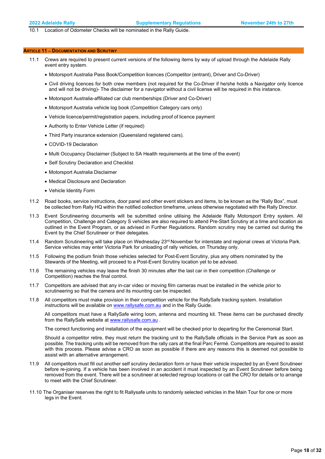10.1 Location of Odometer Checks will be nominated in the Rally Guide.

#### **ARTICLE 11** − **DOCUMENTATION AND SCRUTINY**

- 11.1 Crews are required to present current versions of the following items by way of upload through the Adelaide Rally event entry system.
	- Motorsport Australia Pass Book/Competition licences (Competitor (entrant), Driver and Co-Driver)
	- Civil driving licences for both crew members (not required for the Co-Driver if he/she holds a Navigator only licence and will not be driving)- The disclaimer for a navigator without a civil license will be required in this instance.
	- Motorsport Australia-affiliated car club memberships (Driver and Co-Driver)
	- Motorsport Australia vehicle log book (Competition Category cars only)
	- Vehicle licence/permit/registration papers, including proof of licence payment
	- Authority to Enter Vehicle Letter (if required)
	- Third Party insurance extension (Queensland registered cars).
	- COVID-19 Declaration
	- Multi Occupancy Disclaimer (Subject to SA Health requirements at the time of the event)
	- Self Scrutiny Declaration and Checklist
	- Motorsport Australia Disclaimer
	- Medical Disclosure and Declaration
	- Vehicle Identity Form
- 11.2 Road books, service instructions, door panel and other event stickers and items, to be known as the "Rally Box", must be collected from Rally HQ within the notified collection timeframe, unless otherwise negotiated with the Rally Director.
- 11.3 Event Scrutineering documents will be submitted online utilising the Adelaide Rally Motorsport Entry system. All Competition, Challenge and Category S vehicles are also required to attend Pre-Start Scrutiny at a time and location as outlined in the Event Program, or as advised in Further Regulations. Random scrutiny may be carried out during the Event by the Chief Scrutineer or their delegates.
- 11.4 Random Scrutineering will take place on Wednesday 23<sup>rd</sup> November for interstate and regional crews at Victoria Park. Service vehicles may enter Victoria Park for unloading of rally vehicles, on Thursday only.
- 11.5 Following the podium finish those vehicles selected for Post-Event Scrutiny, plus any others nominated by the Stewards of the Meeting, will proceed to a Post-Event Scrutiny location yet to be advised.
- 11.6 The remaining vehicles may leave the finish 30 minutes after the last car in their competition (Challenge or Competition) reaches the final control.
- 11.7 Competitors are advised that any in-car video or moving film cameras must be installed in the vehicle prior to scrutineering so that the camera and its mounting can be inspected.
- 11.8 All competitors must make provision in their competition vehicle for the RallySafe tracking system. Installation instructions will be available on [www.rallysafe.com.au](http://www.rallysafe.com.au/) and in the Rally Guide.

All competitors must have a RallySafe wiring loom, antenna and mounting kit. These items can be purchased directly from the RallySafe website at [www.rallysafe.com.au](http://www.rallysafe.com.au/)

The correct functioning and installation of the equipment will be checked prior to departing for the Ceremonial Start.

Should a competitor retire, they must return the tracking unit to the RallySafe officials in the Service Park as soon as possible. The tracking units will be removed from the rally cars at the final Parc Fermé. Competitors are required to assist with this process. Please advise a CRO as soon as possible if there are any reasons this is deemed not possible to assist with an alternative arrangement.

- 11.9 All competitors must fill out another self scrutiny declaration form or have their vehicle inspected by an Event Scrutineer before re-joining. If a vehicle has been involved in an accident it must inspected by an Event Scrutineer before being removed from the event. There will be a scrutineer at selected regroup locations or call the CRO for details or to arrange to meet with the Chief Scrutineer.
- 11.10 The Organiser reserves the right to fit Rallysafe units to randomly selected vehicles in the Main Tour for one or more legs in the Event.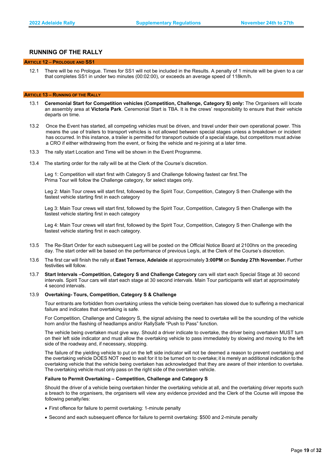# **RUNNING OF THE RALLY**

#### <span id="page-18-0"></span> **ARTICLE 12** − **PROLOGUE AND SS1**

<span id="page-18-1"></span>12.1 There will be no Prologue. Times for SS1 will not be included in the Results. A penalty of 1 minute will be given to a car that completes SS1 in under two minutes (00:02:00), or exceeds an average speed of 118km/h.

#### **ARTICLE 13** − **RUNNING OF THE RALLY**

- 13.1 **Ceremonial Start for Competition vehicles (Competition, Challenge, Category S) only:** The Organisers will locate an assembly area at **Victoria Park**. Ceremonial Start is TBA. It is the crews' responsibility to ensure that their vehicle departs on time.
- 13.2 Once the Event has started, all competing vehicles must be driven, and travel under their own operational power. This means the use of trailers to transport vehicles is not allowed between special stages unless a breakdown or incident has occurred. In this instance, a trailer is permitted for transport outside of a special stage, but competitors must advise a CRO if either withdrawing from the event, or fixing the vehicle and re-joining at a later time.
- 13.3 The rally start Location and Time will be shown in the Event Programme.
- 13.4 The starting order for the rally will be at the Clerk of the Course's discretion.

Leg 1: Competition will start first with Category S and Challenge following fastest car first.The Prima Tour will follow the Challenge category, for select stages only.

Leg 2: Main Tour crews will start first, followed by the Spirit Tour, Competition, Category S then Challenge with the fastest vehicle starting first in each category

Leg 3: Main Tour crews will start first, followed by the Spirit Tour, Competition, Category S then Challenge with the fastest vehicle starting first in each category

Leg 4: Main Tour crews will start first, followed by the Spirit Tour, Competition, Category S then Challenge with the fastest vehicle starting first in each category.

- 13.5 The Re-Start Order for each subsequent Leg will be posted on the Official Notice Board at 2100hrs on the preceding day. The start order will be based on the performance of previous Leg/s, at the Clerk of the Course's discretion.
- 13.6 The first car will finish the rally at **East Terrace, Adelaide** at approximately **3:00PM** on **Sunday 27th November.** Further festivities will follow.
- 13.7 **Start Intervals –Competition, Category S and Challenge Category** cars will start each Special Stage at 30 second intervals. Spirit Tour cars will start each stage at 30 second intervals. Main Tour participants will start at approximately 4 second intervals.

#### 13.9 **Overtaking- Tours, Competition, Category S & Challenge**

Tour entrants are forbidden from overtaking unless the vehicle being overtaken has slowed due to suffering a mechanical failure and indicates that overtaking is safe.

For Competition, Challenge and Category S, the signal advising the need to overtake will be the sounding of the vehicle horn and/or the flashing of headlamps and/or RallySafe "Push to Pass" function.

The vehicle being overtaken must give way. Should a driver indicate to overtake, the driver being overtaken MUST turn on their left side indicator and must allow the overtaking vehicle to pass immediately by slowing and moving to the left side of the roadway and, if necessary, stopping.

The failure of the yielding vehicle to put on the left side indicator will not be deemed a reason to prevent overtaking and the overtaking vehicle DOES NOT need to wait for it to be turned on to overtake; it is merely an additional indication to the overtaking vehicle that the vehicle being overtaken has acknowledged that they are aware of their intention to overtake. The overtaking vehicle must only pass on the right side of the overtaken vehicle.

#### **Failure to Permit Overtaking – Competition, Challenge and Category S**

Should the driver of a vehicle being overtaken hinder the overtaking vehicle at all, and the overtaking driver reports such a breach to the organisers, the organisers will view any evidence provided and the Clerk of the Course will impose the following penalty/ies:

- First offence for failure to permit overtaking: 1-minute penalty
- Second and each subsequent offence for failure to permit overtaking: \$500 and 2-minute penalty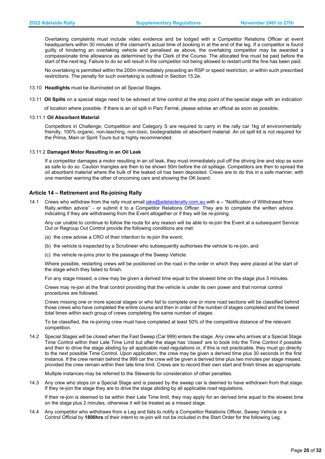Overtaking complaints must include video evidence and be lodged with a Competitor Relations Officer at event headquarters within 30 minutes of the claimant's actual time of booking in at the end of the leg. If a competitor is found guilty of hindering an overtaking vehicle and penalised as above, the overtaking competitor may be awarded a compassionate time allowance as determined by the Clerk of the Course. The allocated fine must be paid before the start of the next leg. Failure to do so will result in the competitor not being allowed to restart until the fine has been paid.

No overtaking is permitted within the 200m immediately preceding an RSP or speed restriction, or within such prescribed restrictions. The penalty for such overtaking is outlined in Section 15.2e.

- 13.10 **Headlights** must be illuminated on all Special Stages.
- 13.11 **Oil Spills** on a special stage need to be advised at time control at the stop point of the special stage with an indication

of location where possible. If there is an oil spill in Parc Fermé, please advise an official as soon as possible.

#### 13.11.1 **Oil Absorbent Material**

Competitors in Challenge, Competition and Category S are required to carry in the rally car 1kg of environmentally friendly, 100% organic, non-leaching, non-toxic, biodegradable oil absorbent material. An oil spill kit is not required for the Prima, Main or Spirit Tours but is highly recommended.

#### 13.11.2 **Damaged Motor Resulting in an Oil Leak**

If a competitor damages a motor resulting in an oil leak, they must immediately pull off the driving line and stop as soon as safe to do so. Caution triangles are then to be shown 50m before the oil spillage. Competitors are then to spread the oil absorbent material where the bulk of the leaked oil has been deposited. Crews are to do this in a safe manner, with one member warning the other of oncoming cars and showing the OK board.

#### **Article 14 – Retirement and Re-joining Rally**

14.1 Crews who withdraw from the rally must email [jake@adelaiderally.com.au w](mailto:jake@adelaiderally.com.au)ith a - "Notification of Withdrawal from Rally, written advice" – or submit it to a Competitor Relations Officer. They are to complete the written advice indicating if they are withdrawing from the Event altogether or if they will be re-joining.

Any car unable to continue to follow the route for any reason will be able to re-join the Event at a subsequent Service Out or Regroup Out Control provide the following conditions are met:

- (a) the crew advise a CRO of their intention to re-join the event;
- (b) the vehicle is inspected by a Scrutineer who subsequently authorises the vehicle to re-join, and
- (c) the vehicle re-joins prior to the passage of the Sweep Vehicle.

Where possible, restarting crews will be positioned on the road in the order in which they were placed at the start of the stage which they failed to finish.

For any stage missed, a crew may be given a derived time equal to the slowest time on the stage plus 3 minutes.

Crews may re-join at the final control providing that the vehicle is under its own power and that normal control procedures are followed.

Crews missing one or more special stages or who fail to complete one or more road sections will be classified behind those crews who have completed the entire course and then in order of the number of stages completed and the lowest total times within each group of crews completing the same number of stages.

To be classified, the re-joining crew must have completed at least 50% of the competitive distance of the relevant competition.

14.2 Special Stages will be closed when the Fast Sweep (Car 999) enters the stage. Any crew who arrives at a Special Stage Time Control within their Late Time Limit but after the stage has 'closed' are to book into the Time Control if possible and then to drive the stage abiding by all applicable road regulations or, if this is not practicable, they must go directly to the next possible Time Control. Upon application, the crew may be given a derived time plus 30 seconds in the first instance. If the crew remain behind the 999 car the crew will be given a derived time plus two minutes per stage missed, provided the crew remain within their late time limit. Crews are to record their own start and finish times as appropriate.

Multiple instances may be referred to the Stewards for consideration of other penalties.

14.3 Any crew who stops on a Special Stage and is passed by the sweep car is deemed to have withdrawn from that stage. If they re-join the stage they are to drive the stage abiding by all applicable road regulations.

If their re-join is deemed to be within their Late Time limit, they may apply for an derived time equal to the slowest time on the stage plus 2 minutes, otherwise it will be treated as a missed stage.

14.4 Any competitor who withdraws from a Leg and fails to notify a Competitor Relations Officer, Sweep Vehicle or a Control Official by **1800hrs** of their intent to re-join will not be included in the Start Order for the following Leg.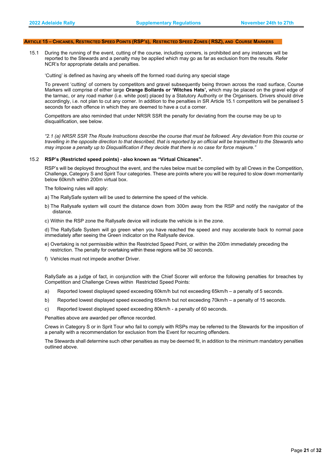#### <span id="page-20-0"></span> **ARTICLE 15 – CHICANES, RESTRICTED SPEED POINTS (RSP'S), RESTRICTED SPEED ZONES ( RSZ), AND COURSE MARKERS**

15.1 During the running of the event, cutting of the course, including corners, is prohibited and any instances will be reported to the Stewards and a penalty may be applied which may go as far as exclusion from the results. Refer NCR's for appropriate details and penalties.

'Cutting' is defined as having any wheels off the formed road during any special stage

To prevent 'cutting' of corners by competitors and gravel subsequently being thrown across the road surface, Course Markers will comprise of either large **Orange Bollards or 'Witches Hats',** which may be placed on the gravel edge of the tarmac, or any road marker (i.e. white post) placed by a Statutory Authority or the Organisers. Drivers should drive accordingly, i.e. not plan to cut any corner. In addition to the penalties in SR Article 15.1 competitors will be penalised 5 seconds for each offence in which they are deemed to have a cut a corner.

Competitors are also reminded that under NRSR SSR the penalty for deviating from the course may be up to disqualification, see below.

*"2.1 (a) NRSR SSR The Route Instructions describe the course that must be followed. Any deviation from this course or travelling in the opposite direction to that described, that is reported by an official will be transmitted to the Stewards who may impose a penalty up to Disqualification if they decide that there is no case for force majeure."* 

#### 15.2 **RSP's (Restricted speed points) - also known as "Virtual Chicanes".**

RSP's will be deployed throughout the event, and the rules below must be complied with by all Crews in the Competition, Challenge, Category S and Spirit Tour categories. These are points where you will be required to slow down momentarily below 60km/h within 200m virtual box.

The following rules will apply:

- a) The RallySafe system will be used to determine the speed of the vehicle.
- b) The Rallysafe system will count the distance down from 300m away from the RSP and notify the navigator of the distance.
- c) Within the RSP zone the Rallysafe device will indicate the vehicle is in the zone.

d) The RallySafe System will go green when you have reached the speed and may accelerate back to normal pace immediately after seeing the Green indicator on the Rallysafe device.

- e) Overtaking is not permissible within the Restricted Speed Point, or within the 200m immediately preceding the restriction. The penalty for overtaking within these regions will be 30 seconds.
- f) Vehicles must not impede another Driver.

RallySafe as a judge of fact, in conjunction with the Chief Scorer will enforce the following penalties for breaches by Competition and Challenge Crews within Restricted Speed Points:

- a) Reported lowest displayed speed exceeding 60km/h but not exceeding 65km/h a penalty of 5 seconds.
- b) Reported lowest displayed speed exceeding 65km/h but not exceeding 70km/h a penalty of 15 seconds.
- c) Reported lowest displayed speed exceeding 80km/h a penalty of 60 seconds.

Penalties above are awarded per offence recorded.

Crews in Category S or in Sprit Tour who fail to comply with RSPs may be referred to the Stewards for the imposition of a penalty with a recommendation for exclusion from the Event for recurring offenders.

The Stewards shall determine such other penalties as may be deemed fit, in addition to the minimum mandatory penalties outlined above.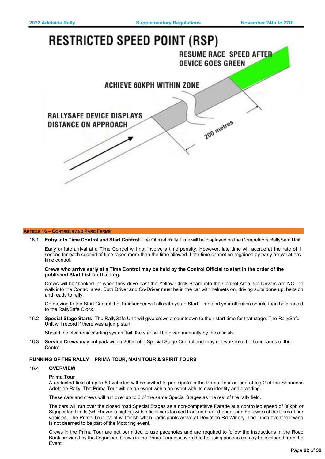# <span id="page-21-0"></span>**RESTRICTED SPEED POINT (RSP) RESUME RACE SPEED AFTER DEVICE GOES GREEN ACHIEVE 60KPH WITHIN ZONE RALLYSAFE DEVICE DISPLAYS** 200 metres **DISTANCE ON APPROACH**

#### **ARTICLE 16** − **CONTROLS AND PARC FERMÉ**

16.1 **Entry into Time Control and Start Control**: The Official Rally Time will be displayed on the Competitors RallySafe Unit.

Early or late arrival at a Time Control will not involve a time penalty. However, late time will accrue at the rate of 1 second for each second of time taken more than the time allowed. Late time cannot be regained by early arrival at any time control.

#### **Crews who arrive early at a Time Control may be held by the Control Official to start in the order of the published Start List for that Leg.**

Crews will be "booked in" when they drive past the Yellow Clock Board into the Control Area. Co-Drivers are NOT to walk into the Control area. Both Driver and Co-Driver must be in the car with helmets on, driving suits done up, belts on and ready to rally.

On moving to the Start Control the Timekeeper will allocate you a Start Time and your attention should then be directed to the RallySafe Clock.

16.2 **Special Stage Starts**: The RallySafe Unit will give crews a countdown to their start time for that stage. The RallySafe Unit will record if there was a jump start.

Should the electronic starting system fail, the start will be given manually by the officials.

16.3 **Service Crews** may not park within 200m of a Special Stage Control and may not walk into the boundaries of the Control.

## **RUNNING OF THE RALLY – PRIMA TOUR, MAIN TOUR & SPIRIT TOURS**

# 16.4 **OVERVIEW**

# **Prima Tour**

A restricted field of up to 80 vehicles will be invited to participate in the Prima Tour as part of leg 2 of the Shannons Adelaide Rally. The Prima Tour will be an event within an event with its own identity and branding.

These cars and crews will run over up to 3 of the same Special Stages as the rest of the rally field.

The cars will run over the closed road Special Stages as a non-competitive Parade at a controlled speed of 80kph or Signposted Limits (whichever is higher) with official cars located front and rear (Leader and Follower) of the Prima Tour vehicles. The Prima Tour event will finish when participants arrive at Deviation Rd Winery. The lunch event following is not deemed to be part of the Motoring event.

Crews in the Prima Tour are not permitted to use pacenotes and are required to follow the instructions in the Road Book provided by the Organiser. Crews in the Prima Tour discovered to be using pacenotes may be excluded from the Event.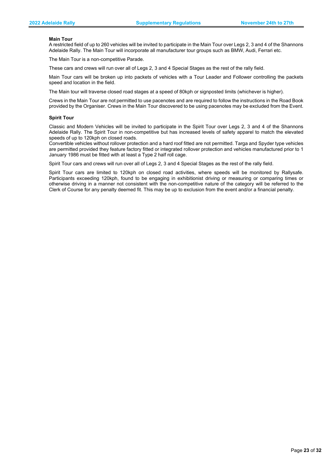#### **Main Tour**

A restricted field of up to 260 vehicles will be invited to participate in the Main Tour over Legs 2, 3 and 4 of the Shannons Adelaide Rally. The Main Tour will incorporate all manufacturer tour groups such as BMW, Audi, Ferrari etc.

The Main Tour is a non-competitive Parade.

These cars and crews will run over all of Legs 2, 3 and 4 Special Stages as the rest of the rally field.

Main Tour cars will be broken up into packets of vehicles with a Tour Leader and Follower controlling the packets speed and location in the field.

The Main tour will traverse closed road stages at a speed of 80kph or signposted limits (whichever is higher).

Crews in the Main Tour are not permitted to use pacenotes and are required to follow the instructions in the Road Book provided by the Organiser. Crews in the Main Tour discovered to be using pacenotes may be excluded from the Event.

#### **Spirit Tour**

Classic and Modern Vehicles will be invited to participate in the Spirit Tour over Legs 2, 3 and 4 of the Shannons Adelaide Rally. The Spirit Tour in non-competitive but has increased levels of safety apparel to match the elevated speeds of up to 120kph on closed roads.

Convertible vehicles without rollover protection and a hard roof fitted are not permitted. Targa and Spyder type vehicles are permitted provided they feature factory fitted or integrated rollover protection and vehicles manufactured prior to 1 January 1986 must be fitted with at least a Type 2 half roll cage.

Spirit Tour cars and crews will run over all of Legs 2, 3 and 4 Special Stages as the rest of the rally field.

Spirit Tour cars are limited to 120kph on closed road activities, where speeds will be monitored by Rallysafe. Participants exceeding 120kph, found to be engaging in exhibitionist driving or measuring or comparing times or otherwise driving in a manner not consistent with the non-competitive nature of the category will be referred to the Clerk of Course for any penalty deemed fit. This may be up to exclusion from the event and/or a financial penalty.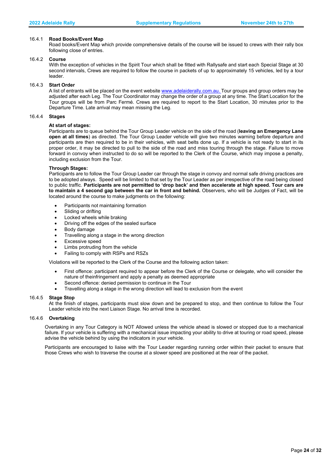#### 16.4.1 **Road Books/Event Map**

Road books/Event Map which provide comprehensive details of the course will be issued to crews with their rally box following close of entries.

#### 16.4.2 **Course**

With the exception of vehicles in the Spirit Tour which shall be fitted with Rallysafe and start each Special Stage at 30 second intervals, Crews are required to follow the course in packets of up to approximately 15 vehicles, led by a tour leader.

# 16.4.3 **Start Order**

A list of entrants will be placed on the event website www.adelaiderally.com.au. Tour groups and group orders may be adjusted after each Leg. The Tour Coordinator may change the order of a group at any time. The Start Location for the Tour groups will be from Parc Fermé. Crews are required to report to the Start Location, 30 minutes prior to the Departure Time. Late arrival may mean missing the Leg.

#### 16.4.4 **Stages**

#### **At start of stages:**

Participants are to queue behind the Tour Group Leader vehicle on the side of the road (**leaving an Emergency Lane open at all times**) as directed. The Tour Group Leader vehicle will give two minutes warning before departure and participants are then required to be in their vehicles, with seat belts done up. If a vehicle is not ready to start in its proper order, it may be directed to pull to the side of the road and miss touring through the stage. Failure to move forward in convoy when instructed to do so will be reported to the Clerk of the Course, which may impose a penalty, including exclusion from the Tour.

#### **Through Stages:**

Participants are to follow the Tour Group Leader car through the stage in convoy and normal safe driving practices are to be adopted always. Speed will be limited to that set by the Tour Leader as per irrespective of the road being closed to public traffic. **Participants are not permitted to 'drop back' and then accelerate at high speed. Tour cars are to maintain a 4 second gap between the car in front and behind.** Observers, who will be Judges of Fact, will be located around the course to make judgments on the following:

- Participants not maintaining formation
- Sliding or drifting
- Locked wheels while braking
- Driving off the edges of the sealed surface
- Body damage
- Travelling along a stage in the wrong direction
- Excessive speed
- Limbs protruding from the vehicle
- Failing to comply with RSPs and RSZs

Violations will be reported to the Clerk of the Course and the following action taken:

- First offence: participant required to appear before the Clerk of the Course or delegate, who will consider the nature of theinfringement and apply a penalty as deemed appropriate
- Second offence: denied permission to continue in the Tour
- Travelling along a stage in the wrong direction will lead to exclusion from the event

#### 16.4.5 **Stage Stop**

At the finish of stages, participants must slow down and be prepared to stop, and then continue to follow the Tour Leader vehicle into the next Liaison Stage. No arrival time is recorded.

#### 16.4.6 **Overtaking**

Overtaking in any Tour Category is NOT Allowed unless the vehicle ahead is slowed or stopped due to a mechanical failure. If your vehicle is suffering with a mechanical issue impacting your ability to drive at touring or road speed, please advise the vehicle behind by using the indicators in your vehicle.

Participants are encouraged to liaise with the Tour Leader regarding running order within their packet to ensure that those Crews who wish to traverse the course at a slower speed are positioned at the rear of the packet.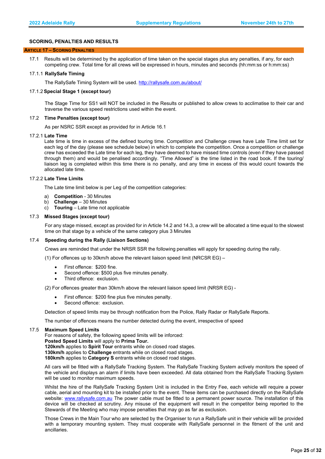# <span id="page-24-0"></span>**SCORING, PENALTIES AND RESULTS**

#### **ARTICLE 17 – SCORING PENALTIES**

17.1 Results will be determined by the application of time taken on the special stages plus any penalties, if any, for each competing crew. Total time for all crews will be expressed in hours, minutes and seconds (hh:mm:ss or h:mm:ss)

#### 17.1.1 **RallySafe Timing**

The RallySafe Timing System will be used. <http://rallysafe.com.au/about/>

#### 17.1.2 **Special Stage 1 (except tour)**

The Stage Time for SS1 will NOT be included in the Results or published to allow crews to acclimatise to their car and traverse the various speed restrictions used within the event.

#### 17.2 **Time Penalties (except tour)**

As per NSRC SSR except as provided for in Article 16.1

#### 17.2.1 **Late Time**

Late time is time in excess of the defined touring time. Competition and Challenge crews have Late Time limit set for each leg of the day (please see schedule below) in which to complete the competition. Once a competition or challenge crew has exceeded the Late time for each leg, they have deemed to have missed time controls (even if they have passed through them) and would be penalised accordingly. "Time Allowed" is the time listed in the road book. If the touring/ liaison leg is completed within this time there is no penalty, and any time in excess of this would count towards the allocated late time.

#### 17.2.2 **Late Time Limits**

The Late time limit below is per Leg of the competition categories:

- a) **Competition** 30 Minutes<br>b) **Challenge** 30 Minutes
- b) **Challenge** 30 Minutes
- c) **Touring** Late time not applicable

#### 17.3 **Missed Stages (except tour)**

For any stage missed, except as provided for in Article 14.2 and 14.3, a crew will be allocated a time equal to the slowest time on that stage by a vehicle of the same category plus 3 Minutes

#### 17.4 **Speeding during the Rally (Liaison Sections)**

Crews are reminded that under the NRSR SSR the following penalties will apply for speeding during the rally.

(1) For offences up to 30km/h above the relevant liaison speed limit (NRCSR EG) –

- First offence: \$200 fine.
- Second offence: \$500 plus five minutes penalty.
- Third offence: exclusion.

(2) For offences greater than 30km/h above the relevant liaison speed limit (NRSR EG) -

- First offence: \$200 fine plus five minutes penalty.
- Second offence: exclusion.

Detection of speed limits may be through notification from the Police, Rally Radar or RallySafe Reports.

The number of offences means the number detected during the event, irrespective of speed

#### 17.5 **Maximum Speed Limits**

For reasons of safety, the following speed limits will be inforced: **Posted Speed Limits** will apply to **Prima Tour.**

**120km/h** applies to **Spirit Tour** entrants while on closed road stages.

**130km/h** applies to **Challenge** entrants while on closed road stages.

**180km/h** applies to **Category S** entrants while on closed road stages.

All cars will be fitted with a RallySafe Tracking System. The RallySafe Tracking System actively monitors the speed of the vehicle and displays an alarm if limits have been exceeded. All data obtained from the RallySafe Tracking System will be used to monitor maximum speeds.

Whilst the hire of the RallySafe Tracking System Unit is included in the Entry Fee, each vehicle will require a power cable, aerial and mounting kit to be installed prior to the event. These items can be purchased directly on the RallySafe website: [www.rallysafe.com.au](http://www.rallysafe.com.au/) The power cable must be fitted to a permanent power source. The installation of this device will be checked at scrutiny. Any misuse of the equipment will result in the competitor being reported to the Stewards of the Meeting who may impose penalties that may go as far as exclusion.

Those Crews in the Main Tour who are selected by the Organiser to run a RallySafe unit in their vehicle will be provided with a temporary mounting system. They must cooperate with RallySafe personnel in the fitment of the unit and ancillaries.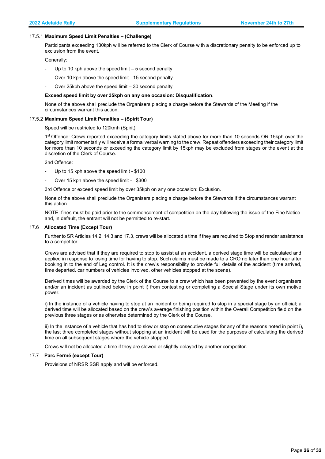#### 17.5.1 **Maximum Speed Limit Penalties – (Challenge)**

Participants exceeding 130kph will be referred to the Clerk of Course with a discretionary penalty to be enforced up to exclusion from the event.

Generally:

- Up to 10 kph above the speed limit  $-5$  second penalty
- Over 10 kph above the speed limit 15 second penalty
- Over 25kph above the speed limit 30 second penalty

#### **Exceed speed limit by over 35kph on any one occasion: Disqualification**.

None of the above shall preclude the Organisers placing a charge before the Stewards of the Meeting if the circumstances warrant this action.

#### 17.5.2 **Maximum Speed Limit Penalties – (Spirit Tour)**

Speed will be restricted to 120kmh (Spirit)

1<sup>st</sup> Offence: Crews reported exceeding the category limits stated above for more than 10 seconds OR 15kph over the category limit momentarily will receive a formal verbal warning to the crew. Repeat offenders exceeding their category limit for more than 10 seconds or exceeding the category limit by 15kph may be excluded from stages or the event at the discretion of the Clerk of Course.

2nd Offence:

- Up to 15 kph above the speed limit \$100
- Over 15 kph above the speed limit \$300

3rd Offence or exceed speed limit by over 35kph on any one occasion: Exclusion.

None of the above shall preclude the Organisers placing a charge before the Stewards if the circumstances warrant this action.

NOTE: fines must be paid prior to the commencement of competition on the day following the issue of the Fine Notice and, in default, the entrant will not be permitted to re-start.

#### 17.6 **Allocated Time (Except Tour)**

Further to SR Articles 14.2, 14.3 and 17.3, crews will be allocated a time if they are required to Stop and render assistance to a competitor.

Crews are advised that if they are required to stop to assist at an accident, a derived stage time will be calculated and applied in response to losing time for having to stop. Such claims must be made to a CRO no later than one hour after booking in to the end of Leg control. It is the crew's responsibility to provide full details of the accident (time arrived, time departed, car numbers of vehicles involved, other vehicles stopped at the scene).

Derived times will be awarded by the Clerk of the Course to a crew which has been prevented by the event organisers and/or an incident as outlined below in point i) from contesting or completing a Special Stage under its own motive power.

i) In the instance of a vehicle having to stop at an incident or being required to stop in a special stage by an official; a derived time will be allocated based on the crew's average finishing position within the Overall Competition field on the previous three stages or as otherwise determined by the Clerk of the Course.

ii) In the instance of a vehicle that has had to slow or stop on consecutive stages for any of the reasons noted in point i), the last three completed stages without stopping at an incident will be used for the purposes of calculating the derived time on all subsequent stages where the vehicle stopped.

Crews will not be allocated a time if they are slowed or slightly delayed by another competitor.

# 17.7 **Parc Fermé (except Tour)**

Provisions of NRSR SSR apply and will be enforced.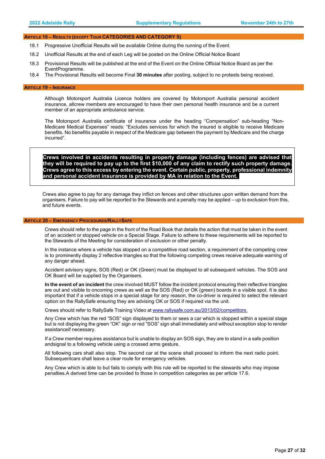#### **ARTICLE 18** − **RESULTS (EXCEPT TOUR CATEGORIES AND CATEGORY S)**

- 18.1 Progressive Unofficial Results will be available Online during the running of the Event.
- 18.2 Unofficial Results at the end of each Leg will be posted on the Online Official Notice Board
- 18.3 Provisional Results will be published at the end of the Event on the Online Official Notice Board as per the EventProgramme.
- 18.4 The Provisional Results will become Final **30 minutes** after posting, subject to no protests being received.

#### <span id="page-26-0"></span> **ARTICLE 19** − **INSURANCE**

Although Motorsport Australia Licence holders are covered by Motorsport Australia personal accident insurance, allcrew members are encouraged to have their own personal health insurance and be a current member of an appropriate ambulance service.

The Motorsport Australia certificate of insurance under the heading "Compensation" sub-heading "Non-Medicare Medical Expenses" reads: "Excludes services for which the insured is eligible to receive Medicare benefits. No benefitis payable in respect of the Medicare gap between the payment by Medicare and the charge incurred".

**Crews involved in accidents resulting in property damage (including fences) are advised that they will be required to pay up to the first \$10,000 of any claim to rectify such property damage. Crews agree to this excess by entering the event. Certain public, property, professional indemnity and personal accident insurance is provided by MA in relation to the Event.**

Crews also agree to pay for any damage they inflict on fences and other structures upon written demand from the organisers. Failure to pay will be reported to the Stewards and a penalty may be applied – up to exclusion from this, and future events.

#### <span id="page-26-1"></span> **ARTICLE 20 – EMERGENCY PROCEDURES/RALLYSAFE**

Crews should refer to the page in the front of the Road Book that details the action that must be taken in the event of an accident or stopped vehicle on a Special Stage. Failure to adhere to these requirements will be reported to the Stewards of the Meeting for consideration of exclusion or other penalty.

In the instance where a vehicle has stopped on a competitive road section, a requirement of the competing crew is to prominently display 2 reflective triangles so that the following competing crews receive adequate warning of any danger ahead.

Accident advisory signs, SOS (Red) or OK (Green) must be displayed to all subsequent vehicles. The SOS and OK Board will be supplied by the Organisers.

**In the event of an incident** the crew involved MUST follow the incident protocol ensuring their reflective triangles are out and visible to oncoming crews as well as the SOS (Red) or OK (green) boards in a visible spot. It is also important that if a vehicle stops in a special stage for any reason, the co-driver is required to select the relevant option on the RallySafe ensuring they are advising OK or SOS if required via the unit.

Crews should refer to RallySafe Training Video at [www.rallysafe.com.au/2013/02/competitors.](http://www.rallysafe.com.au/2013/02/competitors)

Any Crew which has the red "SOS" sign displayed to them or sees a car which is stopped within a special stage but is not displaying the green "OK" sign or red "SOS" sign shall immediately and without exception stop to render assistanceif necessary.

If a Crew member requires assistance but is unable to display an SOS sign, they are to stand in a safe position andsignal to a following vehicle using a crossed arms gesture.

All following cars shall also stop. The second car at the scene shall proceed to inform the next radio point. Subsequentcars shall leave a clear route for emergency vehicles.

Any Crew which is able to but fails to comply with this rule will be reported to the stewards who may impose penalties. A derived time can be provided to those in competition categories as per article 17.6.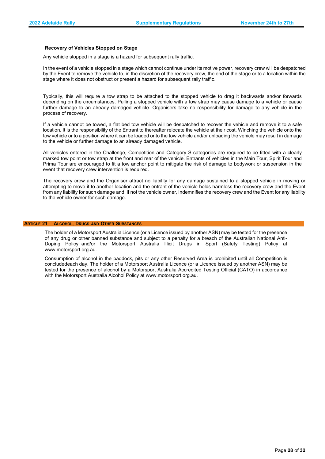#### **Recovery of Vehicles Stopped on Stage**

Any vehicle stopped in a stage is a hazard for subsequent rally traffic.

In the event of a vehicle stopped in a stage which cannot continue under its motive power, recovery crew will be despatched by the Event to remove the vehicle to, in the discretion of the recovery crew, the end of the stage or to a location within the stage where it does not obstruct or present a hazard for subsequent rally traffic.

Typically, this will require a tow strap to be attached to the stopped vehicle to drag it backwards and/or forwards depending on the circumstances. Pulling a stopped vehicle with a tow strap may cause damage to a vehicle or cause further damage to an already damaged vehicle. Organisers take no responsibility for damage to any vehicle in the process of recovery.

If a vehicle cannot be towed, a flat bed tow vehicle will be despatched to recover the vehicle and remove it to a safe location. It is the responsibility of the Entrant to thereafter relocate the vehicle at their cost. Winching the vehicle onto the tow vehicle or to a position where it can be loaded onto the tow vehicle and/or unloading the vehicle may result in damage to the vehicle or further damage to an already damaged vehicle.

All vehicles entered in the Challenge, Competition and Category S categories are required to be fitted with a clearly marked tow point or tow strap at the front and rear of the vehicle. Entrants of vehicles in the Main Tour, Spirit Tour and Prima Tour are encouraged to fit a tow anchor point to mitigate the risk of damage to bodywork or suspension in the event that recovery crew intervention is required.

The recovery crew and the Organiser attract no liability for any damage sustained to a stopped vehicle in moving or attempting to move it to another location and the entrant of the vehicle holds harmless the recovery crew and the Event from any liability for such damage and, if not the vehicle owner, indemnifies the recovery crew and the Event for any liability to the vehicle owner for such damage.

#### <span id="page-27-0"></span>**ARTICLE 21 – ALCOHOL, DRUGS AND OTHER SUBSTANCES**

The holder of a Motorsport Australia Licence (or a Licence issued by another ASN) may be tested for the presence of any drug or other banned substance and subject to a penalty for a breach of the Australian National Anti-Doping Policy and/or the Motorsport Australia Illicit Drugs in Sport (Safety Testing) Policy at [www.motorsport.org.au.](http://www.motorsport.org.au/)

Consumption of alcohol in the paddock, pits or any other Reserved Area is prohibited until all Competition is concludedeach day. The holder of a Motorsport Australia Licence (or a Licence issued by another ASN) may be tested for the presence of alcohol by a Motorsport Australia Accredited Testing Official (CATO) in accordance with the Motorsport Australia Alcohol Policy at [www.motorsport.org.au.](http://www.motorsport.org.au/)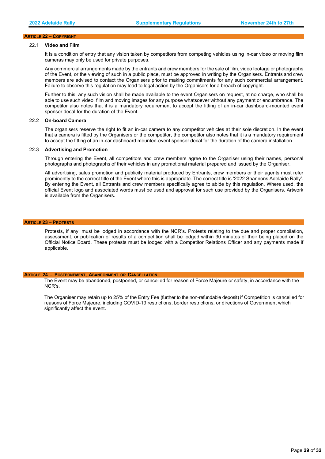#### <span id="page-28-0"></span> **ARTICLE 22 – COPYRIGHT**

# 22.1 **Video and Film**

It is a condition of entry that any vision taken by competitors from competing vehicles using in-car video or moving film cameras may only be used for private purposes.

Any commercial arrangements made by the entrants and crew members for the sale of film, video footage or photographs of the Event, or the viewing of such in a public place, must be approved in writing by the Organisers. Entrants and crew members are advised to contact the Organisers prior to making commitments for any such commercial arrangement. Failure to observe this regulation may lead to legal action by the Organisers for a breach of copyright.

Further to this, any such vision shall be made available to the event Organisers on request, at no charge, who shall be able to use such video, film and moving images for any purpose whatsoever without any payment or encumbrance. The competitor also notes that it is a mandatory requirement to accept the fitting of an in-car dashboard-mounted event sponsor decal for the duration of the Event.

#### 22.2 **On-board Camera**

The organisers reserve the right to fit an in-car camera to any competitor vehicles at their sole discretion. In the event that a camera is fitted by the Organisers or the competitor, the competitor also notes that it is a mandatory requirement to accept the fitting of an in-car dashboard mounted-event sponsor decal for the duration of the camera installation.

#### 22.3 **Advertising and Promotion**

Through entering the Event, all competitors and crew members agree to the Organiser using their names, personal photographs and photographs of their vehicles in any promotional material prepared and issued by the Organiser.

All advertising, sales promotion and publicity material produced by Entrants, crew members or their agents must refer prominently to the correct title of the Event where this is appropriate. The correct title is '2022 Shannons Adelaide Rally'. By entering the Event, all Entrants and crew members specifically agree to abide by this regulation. Where used, the official Event logo and associated words must be used and approval for such use provided by the Organisers. Artwork is available from the Organisers.

#### <span id="page-28-1"></span> **ARTICLE 23 – PROTESTS**

Protests, if any, must be lodged in accordance with the NCR's. Protests relating to the due and proper compilation, assessment, or publication of results of a competition shall be lodged within 30 minutes of their being placed on the Official Notice Board. These protests must be lodged with a Competitor Relations Officer and any payments made if applicable.

#### <span id="page-28-2"></span>**ARTICLE 24 – POSTPONEMENT, ABANDONMENT OR CANCELLATION**

The Event may be abandoned, postponed, or cancelled for reason of Force Majeure or safety, in accordance with the NCR's.

The Organiser may retain up to 25% of the Entry Fee (further to the non-refundable deposit) if Competition is cancelled for reasons of Force Majeure, including COVID-19 restrictions, border restrictions, or directions of Government which significantly affect the event.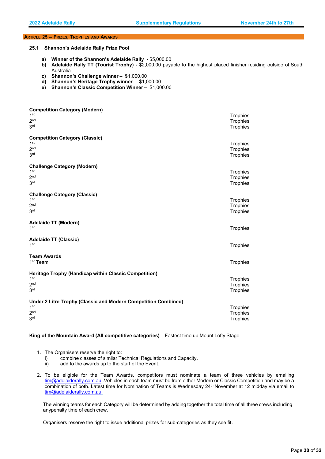## <span id="page-29-0"></span>**ARTICLE 25** − **PRIZES, TROPHIES AND AWARDS**

**25.1 Shannon's Adelaide Rally Prize Pool**

- **a) Winner of the Shannon's Adelaide Rally** \$5,000.00
- **b) Adelaide Rally TT (Tourist Trophy)** \$2,000.00 payable to the highest placed finisher residing outside of South Australia
- **c) Shannon's Challenge winner** \$1,000.00
- **d) Shannon's Heritage Trophy winner** \$1,000.00
- **e) Shannon's Classic Competition Winner** \$1,000.00

| <b>Competition Category (Modern)</b><br>1 <sup>st</sup><br>2 <sub>nd</sub><br>3 <sup>rd</sup>                           | Trophies<br>Trophies<br>Trophies |
|-------------------------------------------------------------------------------------------------------------------------|----------------------------------|
| <b>Competition Category (Classic)</b><br>1 <sup>st</sup><br>2 <sup>nd</sup><br>3 <sup>rd</sup>                          | Trophies<br>Trophies<br>Trophies |
| <b>Challenge Category (Modern)</b><br>1 <sup>st</sup><br>2 <sub>nd</sub><br>3 <sup>rd</sup>                             | Trophies<br>Trophies<br>Trophies |
| <b>Challenge Category (Classic)</b><br>1 <sup>st</sup><br>2 <sub>nd</sub><br>3 <sup>rd</sup>                            | Trophies<br>Trophies<br>Trophies |
| Adelaide TT (Modern)<br>1 <sup>st</sup>                                                                                 | Trophies                         |
| <b>Adelaide TT (Classic)</b><br>1 <sup>st</sup>                                                                         | Trophies                         |
| <b>Team Awards</b><br>1 <sup>st</sup> Team                                                                              | Trophies                         |
| Heritage Trophy (Handicap within Classic Competition)<br>1 <sup>st</sup><br>2 <sub>nd</sub><br>3 <sup>rd</sup>          | Trophies<br>Trophies<br>Trophies |
| Under 2 Litre Trophy (Classic and Modern Competition Combined)<br>1 <sup>st</sup><br>2 <sup>nd</sup><br>3 <sup>rd</sup> | Trophies<br>Trophies<br>Trophies |

**King of the Mountain Award (All competitive categories) –** Fastest time up Mount Lofty Stage

- 1. The Organisers reserve the right to:
	- i) combine classes of similar Technical Regulations and Capacity.
	- ii) add to the awards up to the start of the Event.
- 2. To be eligible for the Team Awards, competitors must nominate a team of three vehicles by emailing [tim@adelaiderally.com.au](mailto:ivar@rallysa.com.au) .Vehicles in each team must be from either Modern or Classic Competition and may be a combination of both. Latest time for Nomination of Teams is Wednesday 24th November at 12 midday via email to [tim@adelaiderally.com.au.](mailto:tim@adelaiderally.com.au)

The winning teams for each Category will be determined by adding together the total time of all three crews including anypenalty time of each crew.

Organisers reserve the right to issue additional prizes for sub-categories as they see fit.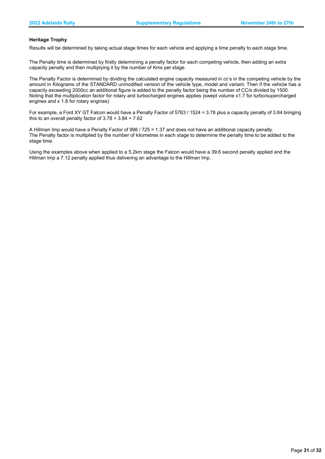# **Heritage Trophy**

Results will be determined by taking actual stage times for each vehicle and applying a time penalty to each stage time.

The Penalty time is determined by firstly determining a penalty factor for each competing vehicle, then adding an extra capacity penalty and then multiplying it by the number of Kms per stage.

The Penalty Factor is determined by dividing the calculated engine capacity measured in cc's in the competing vehicle by the amount in Kilograms of the STANDARD unmodified version of the vehicle type, model and variant. Then if the vehicle has a capacity exceeding 2000cc an additional figure is added to the penalty factor being the number of CC/s divided by 1500. Noting that the multiplication factor for rotary and turbocharged engines applies (swept volume x1.7 for turbo/supercharged engines and x 1.8 for rotary engines)

For example, a Ford XY GT Falcon would have a Penalty Factor of 5763 / 1524 = 3.78 plus a capacity penalty of 3.84 bringing this to an overall penalty factor of  $3.78 + 3.84 = 7.62$ 

A Hillman Imp would have a Penalty Factor of 998 / 725 = 1.37 and does not have an additional capacity penalty. The Penalty factor is multiplied by the number of kilometres in each stage to determine the penalty time to be added to the stage time.

Using the examples above when applied to a 5.2km stage the Falcon would have a 39.6 second penalty applied and the Hillman Imp a 7.12 penalty applied thus delivering an advantage to the Hillman Imp.